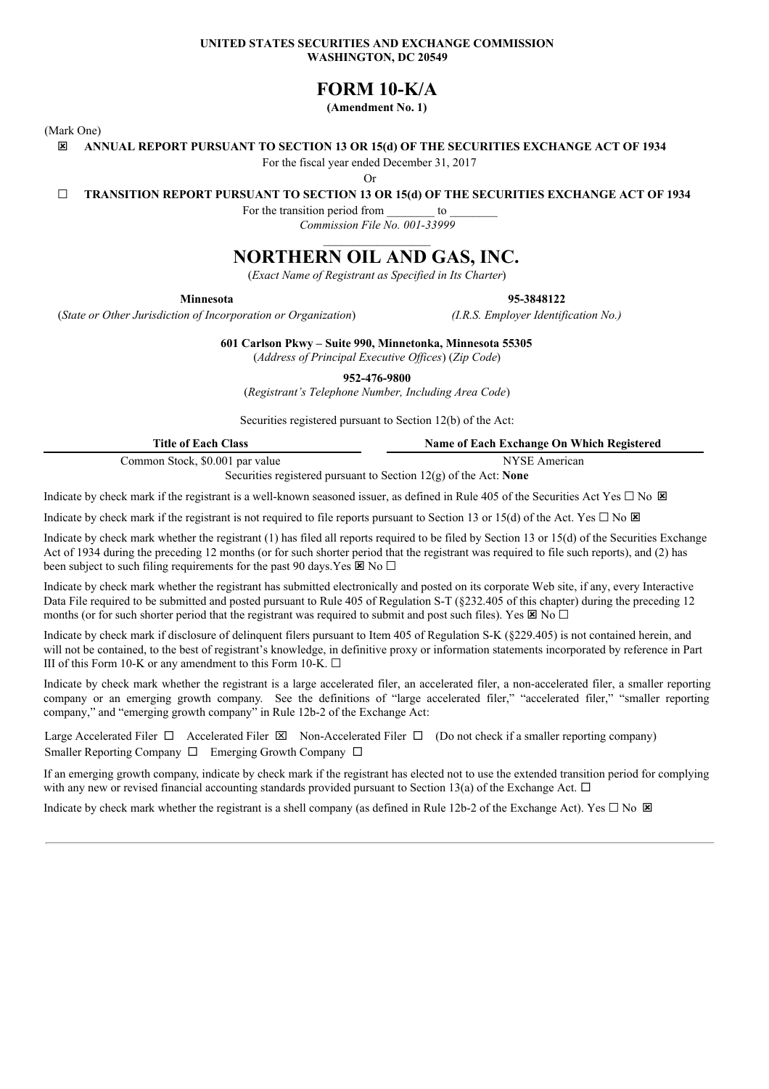### **UNITED STATES SECURITIES AND EXCHANGE COMMISSION WASHINGTON, DC 20549**

# **FORM 10-K/A**

**(Amendment No. 1)**

(Mark One)

ý **ANNUAL REPORT PURSUANT TO SECTION 13 OR 15(d) OF THE SECURITIES EXCHANGE ACT OF 1934**

For the fiscal year ended December 31, 2017

Or

☐ **TRANSITION REPORT PURSUANT TO SECTION 13 OR 15(d) OF THE SECURITIES EXCHANGE ACT OF 1934**

For the transition period from to *Commission File No. 001-33999*

# **NORTHERN OIL AND GAS, INC.**

(*Exact Name of Registrant as Specified in Its Charter*)

**Minnesota 95-3848122**

(*State or Other Jurisdiction of Incorporation or Organization*) *(I.R.S. Employer Identification No.)*

**601 Carlson Pkwy – Suite 990, Minnetonka, Minnesota 55305**

(*Address of Principal Executive Of ices*) (*Zip Code*)

**952-476-9800**

(*Registrant's Telephone Number, Including Area Code*)

Securities registered pursuant to Section 12(b) of the Act:

| <b>Title of Each Class</b>      | Name of Each Exchange On Which Registered                                                                                            |
|---------------------------------|--------------------------------------------------------------------------------------------------------------------------------------|
| Common Stock, \$0.001 par value | NYSE American                                                                                                                        |
|                                 | $\Omega_{\text{e}}$ and the problems of proposition $\Omega$ and $\Omega_{\text{e}}$ and $\Omega_{\text{e}}$ and $\Omega_{\text{e}}$ |

Securities registered pursuant to Section 12(g) of the Act: **None**

Indicate by check mark if the registrant is a well-known seasoned issuer, as defined in Rule 405 of the Securities Act Yes  $\Box$  No  $\boxtimes$ 

Indicate by check mark if the registrant is not required to file reports pursuant to Section 13 or 15(d) of the Act. Yes  $\Box$  No  $\Box$ 

Indicate by check mark whether the registrant (1) has filed all reports required to be filed by Section 13 or 15(d) of the Securities Exchange Act of 1934 during the preceding 12 months (or for such shorter period that the registrant was required to file such reports), and (2) has been subject to such filing requirements for the past 90 days. Yes  $\boxtimes$  No  $\Box$ 

Indicate by check mark whether the registrant has submitted electronically and posted on its corporate Web site, if any, every Interactive Data File required to be submitted and posted pursuant to Rule 405 of Regulation S-T (§232.405 of this chapter) during the preceding 12 months (or for such shorter period that the registrant was required to submit and post such files). Yes  $\boxtimes$  No  $\Box$ 

Indicate by check mark if disclosure of delinquent filers pursuant to Item 405 of Regulation S-K (§229.405) is not contained herein, and will not be contained, to the best of registrant's knowledge, in definitive proxy or information statements incorporated by reference in Part III of this Form 10-K or any amendment to this Form 10-K.  $\Box$ 

Indicate by check mark whether the registrant is a large accelerated filer, an accelerated filer, a non-accelerated filer, a smaller reporting company or an emerging growth company. See the definitions of "large accelerated filer," "accelerated filer," "smaller reporting company," and "emerging growth company" in Rule 12b-2 of the Exchange Act:

Large Accelerated Filer  $\Box$  Accelerated Filer  $\boxtimes$  Non-Accelerated Filer  $\Box$  (Do not check if a smaller reporting company) Smaller Reporting Company  $\Box$  Emerging Growth Company  $\Box$ 

If an emerging growth company, indicate by check mark if the registrant has elected not to use the extended transition period for complying with any new or revised financial accounting standards provided pursuant to Section 13(a) of the Exchange Act.  $\Box$ 

Indicate by check mark whether the registrant is a shell company (as defined in Rule 12b-2 of the Exchange Act). Yes  $\Box$  No  $\boxtimes$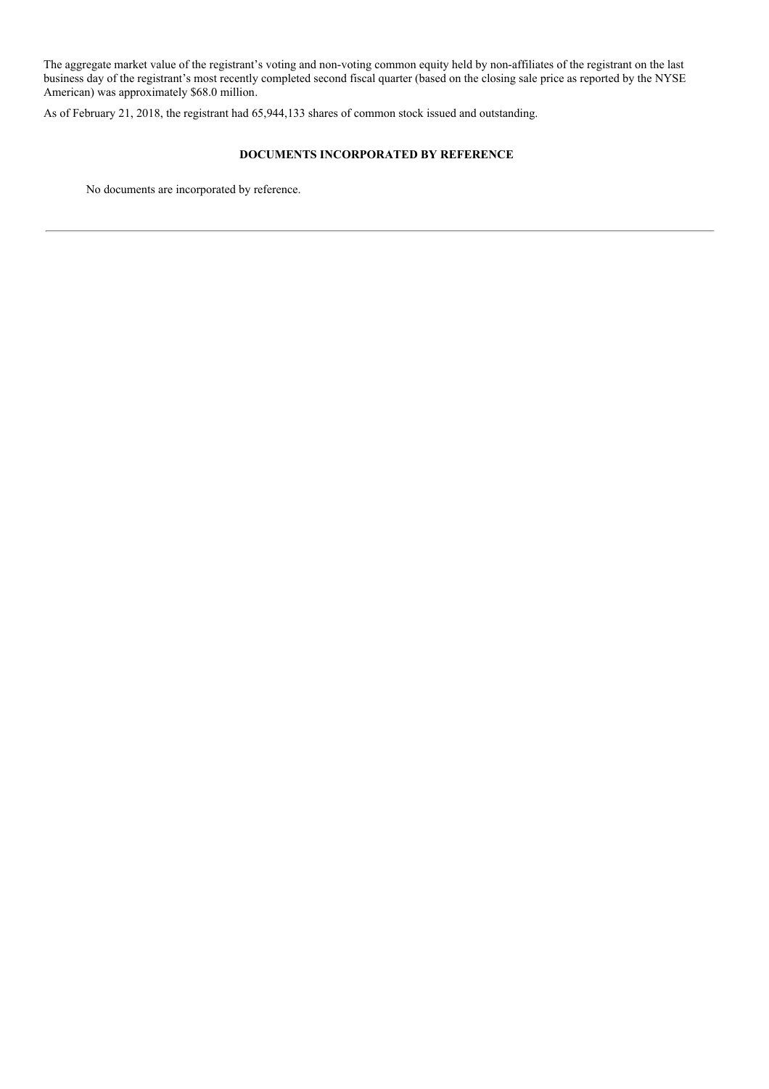The aggregate market value of the registrant's voting and non-voting common equity held by non-affiliates of the registrant on the last business day of the registrant's most recently completed second fiscal quarter (based on the closing sale price as reported by the NYSE American) was approximately \$68.0 million.

As of February 21, 2018, the registrant had 65,944,133 shares of common stock issued and outstanding.

### **DOCUMENTS INCORPORATED BY REFERENCE**

No documents are incorporated by reference.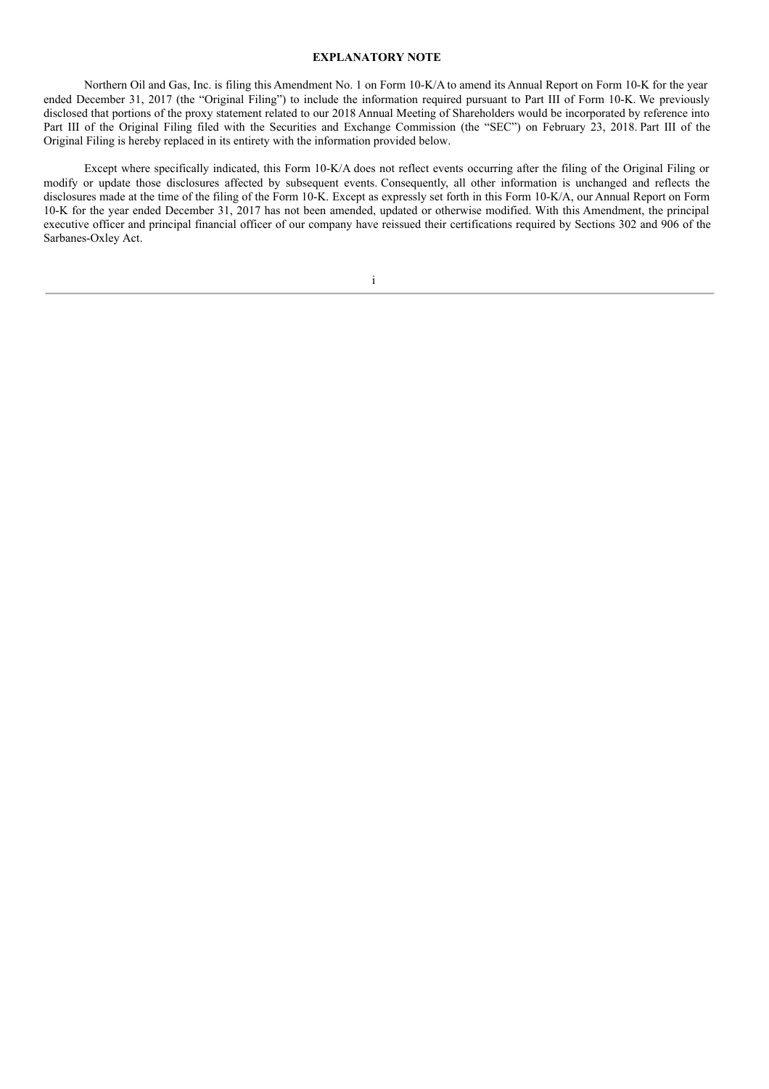#### **EXPLANATORY NOTE**

Northern Oil and Gas, Inc. is filing this Amendment No. 1 on Form 10-K/A to amend its Annual Report on Form 10-K for the year ended December 31, 2017 (the "Original Filing") to include the information required pursuant to Part III of Form 10-K. We previously disclosed that portions of the proxy statement related to our 2018 Annual Meeting of Shareholders would be incorporated by reference into Part III of the Original Filing filed with the Securities and Exchange Commission (the "SEC") on February 23, 2018. Part III of the Original Filing is hereby replaced in its entirety with the information provided below.

Except where specifically indicated, this Form 10-K/A does not reflect events occurring after the filing of the Original Filing or modify or update those disclosures affected by subsequent events. Consequently, all other information is unchanged and reflects the disclosures made at the time of the filing of the Form 10-K. Except as expressly set forth in this Form 10-K/A, our Annual Report on Form 10-K for the year ended December 31, 2017 has not been amended, updated or otherwise modified. With this Amendment, the principal executive officer and principal financial officer of our company have reissued their certifications required by Sections 302 and 906 of the Sarbanes-Oxley Act.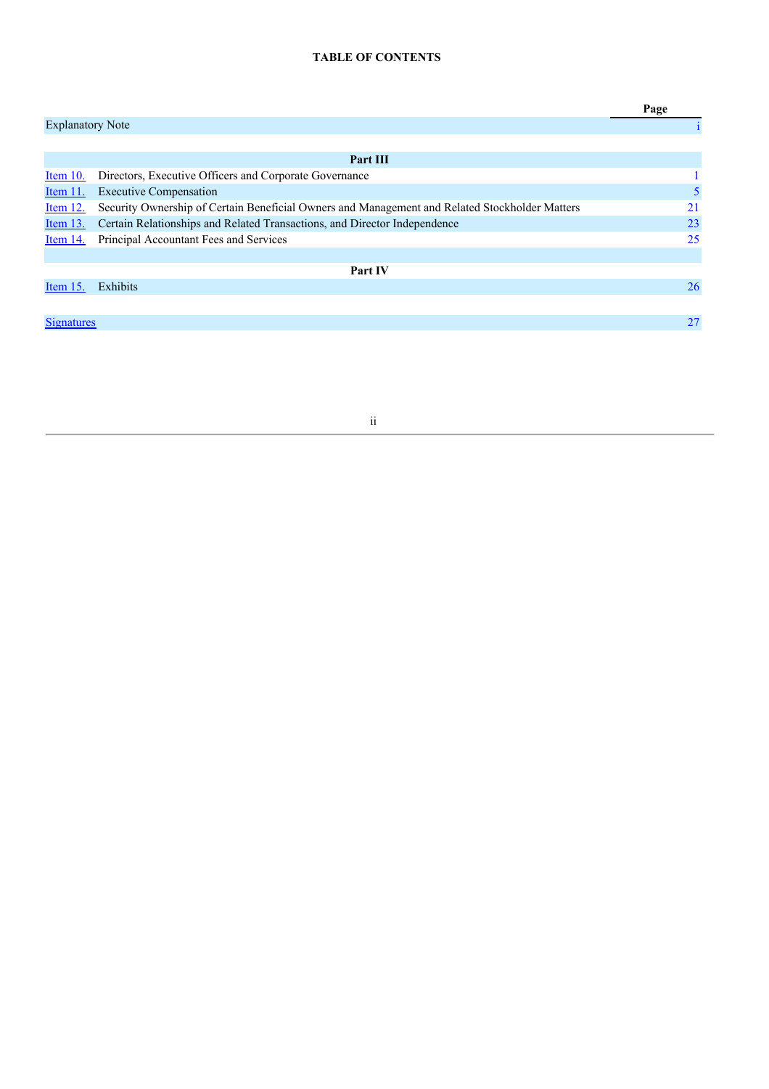# **TABLE OF CONTENTS**

|                         |                                                                                                | Page |
|-------------------------|------------------------------------------------------------------------------------------------|------|
| <b>Explanatory Note</b> |                                                                                                |      |
|                         |                                                                                                |      |
|                         | Part III                                                                                       |      |
| Item $10$ .             | Directors, Executive Officers and Corporate Governance                                         |      |
| Item $11.$              | <b>Executive Compensation</b>                                                                  | 5    |
| Item 12.                | Security Ownership of Certain Beneficial Owners and Management and Related Stockholder Matters | 21   |
| <u>Item 13.</u>         | Certain Relationships and Related Transactions, and Director Independence                      | 23   |
| Item 14.                | Principal Accountant Fees and Services                                                         | 25   |
|                         |                                                                                                |      |
|                         | Part IV                                                                                        |      |
| Item $15$ .             | Exhibits                                                                                       | 26   |
|                         |                                                                                                |      |
| <b>Signatures</b>       |                                                                                                | 27   |
|                         |                                                                                                |      |

ii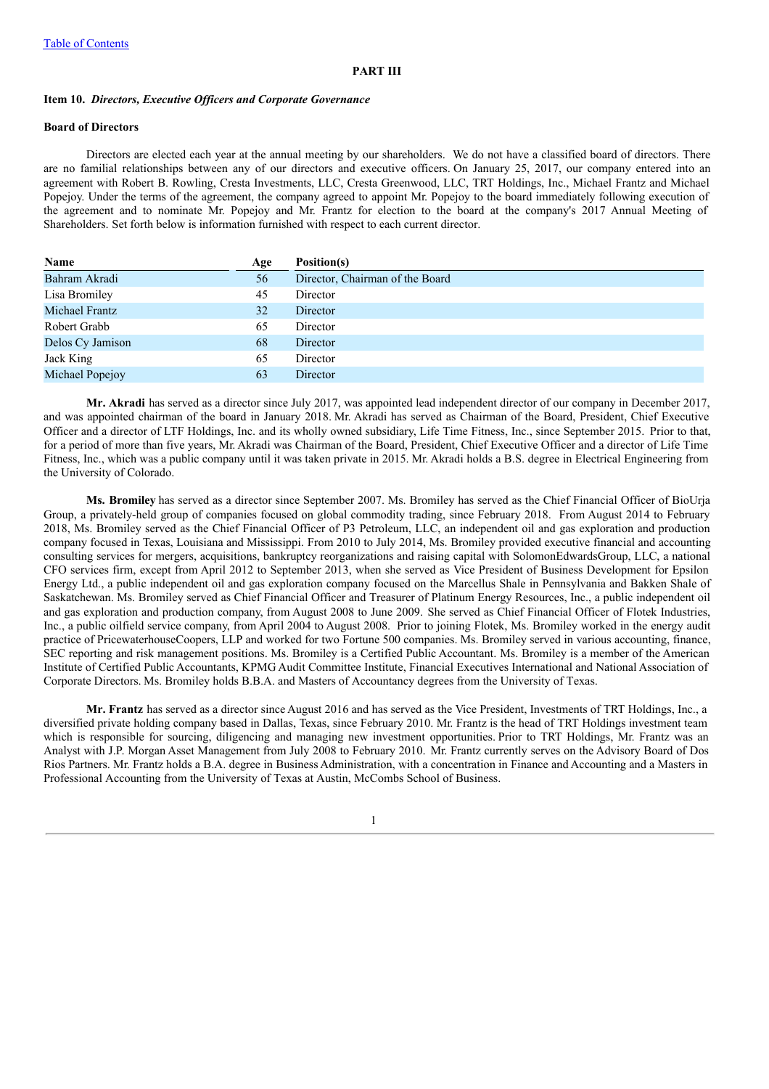#### **PART III**

### **Item 10.** *Directors, Executive Of icers and Corporate Governance*

### **Board of Directors**

Directors are elected each year at the annual meeting by our shareholders. We do not have a classified board of directors. There are no familial relationships between any of our directors and executive officers. On January 25, 2017, our company entered into an agreement with Robert B. Rowling, Cresta Investments, LLC, Cresta Greenwood, LLC, TRT Holdings, Inc., Michael Frantz and Michael Popejoy. Under the terms of the agreement, the company agreed to appoint Mr. Popejoy to the board immediately following execution of the agreement and to nominate Mr. Popejoy and Mr. Frantz for election to the board at the company's 2017 Annual Meeting of Shareholders. Set forth below is information furnished with respect to each current director.

| Name                  | Age | Position(s)                     |
|-----------------------|-----|---------------------------------|
| Bahram Akradi         | 56  | Director, Chairman of the Board |
| Lisa Bromiley         | 45  | Director                        |
| <b>Michael Frantz</b> | 32  | Director                        |
| Robert Grabb          | 65  | Director                        |
| Delos Cy Jamison      | 68  | Director                        |
| Jack King             | 65  | Director                        |
| Michael Popejoy       | 63  | Director                        |
|                       |     |                                 |

**Mr. Akradi** has served as a director since July 2017, was appointed lead independent director of our company in December 2017, and was appointed chairman of the board in January 2018. Mr. Akradi has served as Chairman of the Board, President, Chief Executive Officer and a director of LTF Holdings, Inc. and its wholly owned subsidiary, Life Time Fitness, Inc., since September 2015. Prior to that, for a period of more than five years, Mr. Akradi was Chairman of the Board, President, Chief Executive Officer and a director of Life Time Fitness, Inc., which was a public company until it was taken private in 2015. Mr. Akradi holds a B.S. degree in Electrical Engineering from the University of Colorado.

**Ms. Bromiley** has served as a director since September 2007. Ms. Bromiley has served as the Chief Financial Officer of BioUrja Group, a privately-held group of companies focused on global commodity trading, since February 2018. From August 2014 to February 2018, Ms. Bromiley served as the Chief Financial Officer of P3 Petroleum, LLC, an independent oil and gas exploration and production company focused in Texas, Louisiana and Mississippi. From 2010 to July 2014, Ms. Bromiley provided executive financial and accounting consulting services for mergers, acquisitions, bankruptcy reorganizations and raising capital with SolomonEdwardsGroup, LLC, a national CFO services firm, except from April 2012 to September 2013, when she served as Vice President of Business Development for Epsilon Energy Ltd., a public independent oil and gas exploration company focused on the Marcellus Shale in Pennsylvania and Bakken Shale of Saskatchewan. Ms. Bromiley served as Chief Financial Officer and Treasurer of Platinum Energy Resources, Inc., a public independent oil and gas exploration and production company, from August 2008 to June 2009. She served as Chief Financial Officer of Flotek Industries, Inc., a public oilfield service company, from April 2004 to August 2008. Prior to joining Flotek, Ms. Bromiley worked in the energy audit practice of PricewaterhouseCoopers, LLP and worked for two Fortune 500 companies. Ms. Bromiley served in various accounting, finance, SEC reporting and risk management positions. Ms. Bromiley is a Certified Public Accountant. Ms. Bromiley is a member of the American Institute of Certified Public Accountants, KPMG Audit Committee Institute, Financial Executives International and National Association of Corporate Directors. Ms. Bromiley holds B.B.A. and Masters of Accountancy degrees from the University of Texas.

**Mr. Frantz** has served as a director since August 2016 and has served as the Vice President, Investments of TRT Holdings, Inc., a diversified private holding company based in Dallas, Texas, since February 2010. Mr. Frantz is the head of TRT Holdings investment team which is responsible for sourcing, diligencing and managing new investment opportunities. Prior to TRT Holdings, Mr. Frantz was an Analyst with J.P. Morgan Asset Management from July 2008 to February 2010. Mr. Frantz currently serves on the Advisory Board of Dos Rios Partners. Mr. Frantz holds a B.A. degree in Business Administration, with a concentration in Finance and Accounting and a Masters in Professional Accounting from the University of Texas at Austin, McCombs School of Business.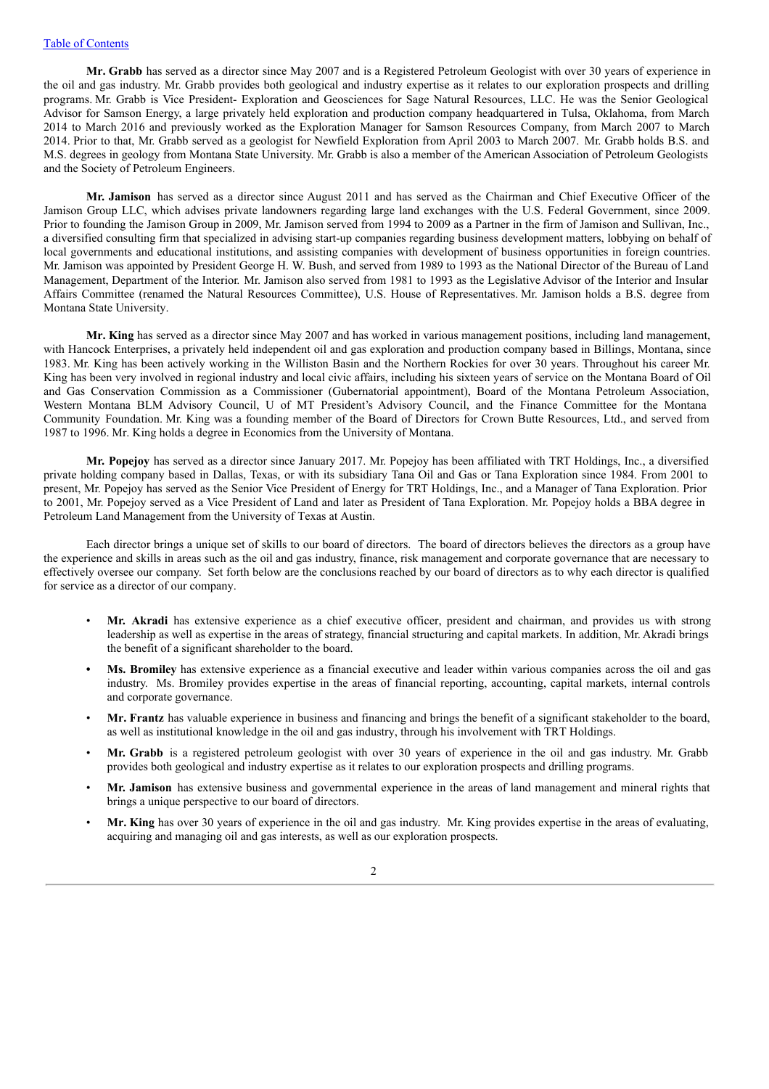**Mr. Grabb** has served as a director since May 2007 and is a Registered Petroleum Geologist with over 30 years of experience in the oil and gas industry. Mr. Grabb provides both geological and industry expertise as it relates to our exploration prospects and drilling programs. Mr. Grabb is Vice President- Exploration and Geosciences for Sage Natural Resources, LLC. He was the Senior Geological Advisor for Samson Energy, a large privately held exploration and production company headquartered in Tulsa, Oklahoma, from March 2014 to March 2016 and previously worked as the Exploration Manager for Samson Resources Company, from March 2007 to March 2014. Prior to that, Mr. Grabb served as a geologist for Newfield Exploration from April 2003 to March 2007. Mr. Grabb holds B.S. and M.S. degrees in geology from Montana State University. Mr. Grabb is also a member of the American Association of Petroleum Geologists and the Society of Petroleum Engineers.

**Mr. Jamison** has served as a director since August 2011 and has served as the Chairman and Chief Executive Officer of the Jamison Group LLC, which advises private landowners regarding large land exchanges with the U.S. Federal Government, since 2009. Prior to founding the Jamison Group in 2009, Mr. Jamison served from 1994 to 2009 as a Partner in the firm of Jamison and Sullivan, Inc., a diversified consulting firm that specialized in advising start-up companies regarding business development matters, lobbying on behalf of local governments and educational institutions, and assisting companies with development of business opportunities in foreign countries. Mr. Jamison was appointed by President George H. W. Bush, and served from 1989 to 1993 as the National Director of the Bureau of Land Management, Department of the Interior. Mr. Jamison also served from 1981 to 1993 as the Legislative Advisor of the Interior and Insular Affairs Committee (renamed the Natural Resources Committee), U.S. House of Representatives. Mr. Jamison holds a B.S. degree from Montana State University.

**Mr. King** has served as a director since May 2007 and has worked in various management positions, including land management, with Hancock Enterprises, a privately held independent oil and gas exploration and production company based in Billings, Montana, since 1983. Mr. King has been actively working in the Williston Basin and the Northern Rockies for over 30 years. Throughout his career Mr. King has been very involved in regional industry and local civic affairs, including his sixteen years of service on the Montana Board of Oil and Gas Conservation Commission as a Commissioner (Gubernatorial appointment), Board of the Montana Petroleum Association, Western Montana BLM Advisory Council, U of MT President's Advisory Council, and the Finance Committee for the Montana Community Foundation. Mr. King was a founding member of the Board of Directors for Crown Butte Resources, Ltd., and served from 1987 to 1996. Mr. King holds a degree in Economics from the University of Montana.

**Mr. Popejoy** has served as a director since January 2017. Mr. Popejoy has been affiliated with TRT Holdings, Inc., a diversified private holding company based in Dallas, Texas, or with its subsidiary Tana Oil and Gas or Tana Exploration since 1984. From 2001 to present, Mr. Popejoy has served as the Senior Vice President of Energy for TRT Holdings, Inc., and a Manager of Tana Exploration. Prior to 2001, Mr. Popejoy served as a Vice President of Land and later as President of Tana Exploration. Mr. Popejoy holds a BBA degree in Petroleum Land Management from the University of Texas at Austin.

Each director brings a unique set of skills to our board of directors. The board of directors believes the directors as a group have the experience and skills in areas such as the oil and gas industry, finance, risk management and corporate governance that are necessary to effectively oversee our company. Set forth below are the conclusions reached by our board of directors as to why each director is qualified for service as a director of our company.

- **Mr. Akradi** has extensive experience as a chief executive officer, president and chairman, and provides us with strong leadership as well as expertise in the areas of strategy, financial structuring and capital markets. In addition, Mr. Akradi brings the benefit of a significant shareholder to the board.
- **• Ms. Bromiley** has extensive experience as a financial executive and leader within various companies across the oil and gas industry. Ms. Bromiley provides expertise in the areas of financial reporting, accounting, capital markets, internal controls and corporate governance.
- **Mr. Frantz** has valuable experience in business and financing and brings the benefit of a significant stakeholder to the board, as well as institutional knowledge in the oil and gas industry, through his involvement with TRT Holdings.
- **Mr. Grabb** is a registered petroleum geologist with over 30 years of experience in the oil and gas industry. Mr. Grabb provides both geological and industry expertise as it relates to our exploration prospects and drilling programs.
- **Mr. Jamison** has extensive business and governmental experience in the areas of land management and mineral rights that brings a unique perspective to our board of directors.
- **Mr. King** has over 30 years of experience in the oil and gas industry. Mr. King provides expertise in the areas of evaluating, acquiring and managing oil and gas interests, as well as our exploration prospects.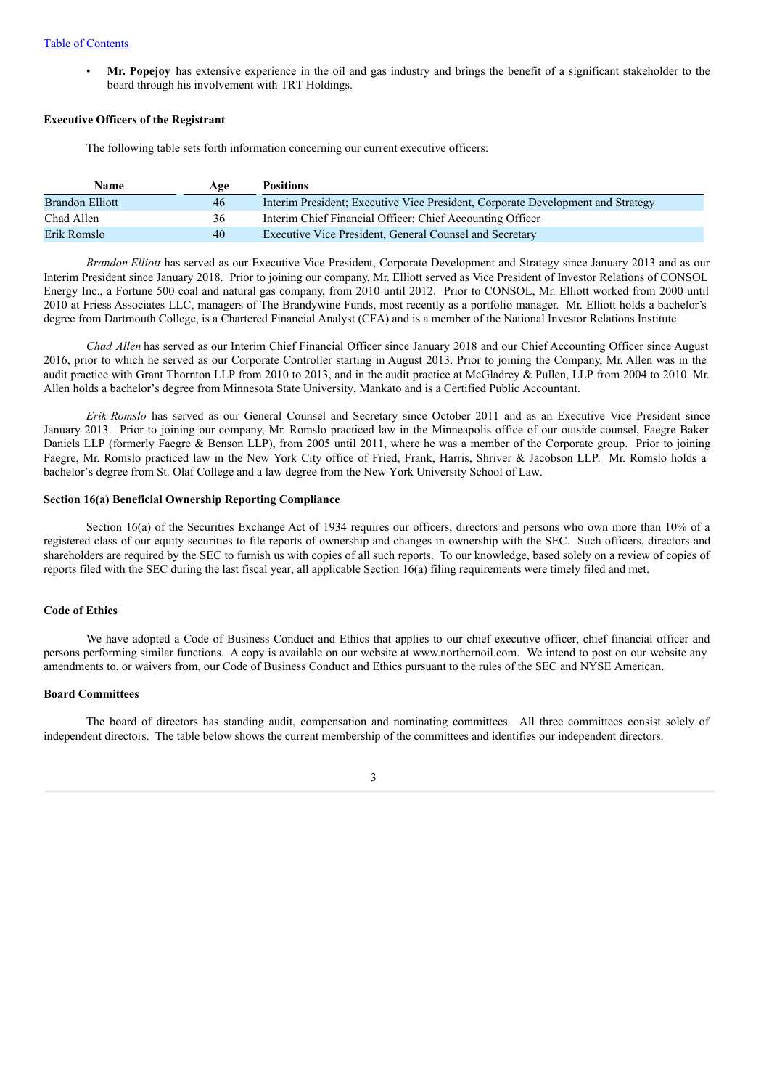• **Mr. Popejoy** has extensive experience in the oil and gas industry and brings the benefit of a significant stakeholder to the board through his involvement with TRT Holdings.

### **Executive Officers of the Registrant**

The following table sets forth information concerning our current executive officers:

| <b>Name</b>     | Age | <b>Positions</b>                                                                |
|-----------------|-----|---------------------------------------------------------------------------------|
| Brandon Elliott | 46  | Interim President; Executive Vice President, Corporate Development and Strategy |
| Chad Allen      | 36  | Interim Chief Financial Officer; Chief Accounting Officer                       |
| Erik Romslo     | 40  | Executive Vice President, General Counsel and Secretary                         |

*Brandon Elliott* has served as our Executive Vice President, Corporate Development and Strategy since January 2013 and as our Interim President since January 2018. Prior to joining our company, Mr. Elliott served as Vice President of Investor Relations of CONSOL Energy Inc., a Fortune 500 coal and natural gas company, from 2010 until 2012. Prior to CONSOL, Mr. Elliott worked from 2000 until 2010 at Friess Associates LLC, managers of The Brandywine Funds, most recently as a portfolio manager. Mr. Elliott holds a bachelor's degree from Dartmouth College, is a Chartered Financial Analyst (CFA) and is a member of the National Investor Relations Institute.

*Chad Allen* has served as our Interim Chief Financial Officer since January 2018 and our Chief Accounting Officer since August 2016, prior to which he served as our Corporate Controller starting in August 2013. Prior to joining the Company, Mr. Allen was in the audit practice with Grant Thornton LLP from 2010 to 2013, and in the audit practice at McGladrey & Pullen, LLP from 2004 to 2010. Mr. Allen holds a bachelor's degree from Minnesota State University, Mankato and is a Certified Public Accountant.

*Erik Romslo* has served as our General Counsel and Secretary since October 2011 and as an Executive Vice President since January 2013. Prior to joining our company, Mr. Romslo practiced law in the Minneapolis office of our outside counsel, Faegre Baker Daniels LLP (formerly Faegre & Benson LLP), from 2005 until 2011, where he was a member of the Corporate group. Prior to joining Faegre, Mr. Romslo practiced law in the New York City office of Fried, Frank, Harris, Shriver & Jacobson LLP. Mr. Romslo holds a bachelor's degree from St. Olaf College and a law degree from the New York University School of Law.

#### **Section 16(a) Beneficial Ownership Reporting Compliance**

Section 16(a) of the Securities Exchange Act of 1934 requires our officers, directors and persons who own more than 10% of a registered class of our equity securities to file reports of ownership and changes in ownership with the SEC. Such officers, directors and shareholders are required by the SEC to furnish us with copies of all such reports. To our knowledge, based solely on a review of copies of reports filed with the SEC during the last fiscal year, all applicable Section 16(a) filing requirements were timely filed and met.

### **Code of Ethics**

We have adopted a Code of Business Conduct and Ethics that applies to our chief executive officer, chief financial officer and persons performing similar functions. A copy is available on our website at www.northernoil.com. We intend to post on our website any amendments to, or waivers from, our Code of Business Conduct and Ethics pursuant to the rules of the SEC and NYSE American.

#### **Board Committees**

The board of directors has standing audit, compensation and nominating committees. All three committees consist solely of independent directors. The table below shows the current membership of the committees and identifies our independent directors.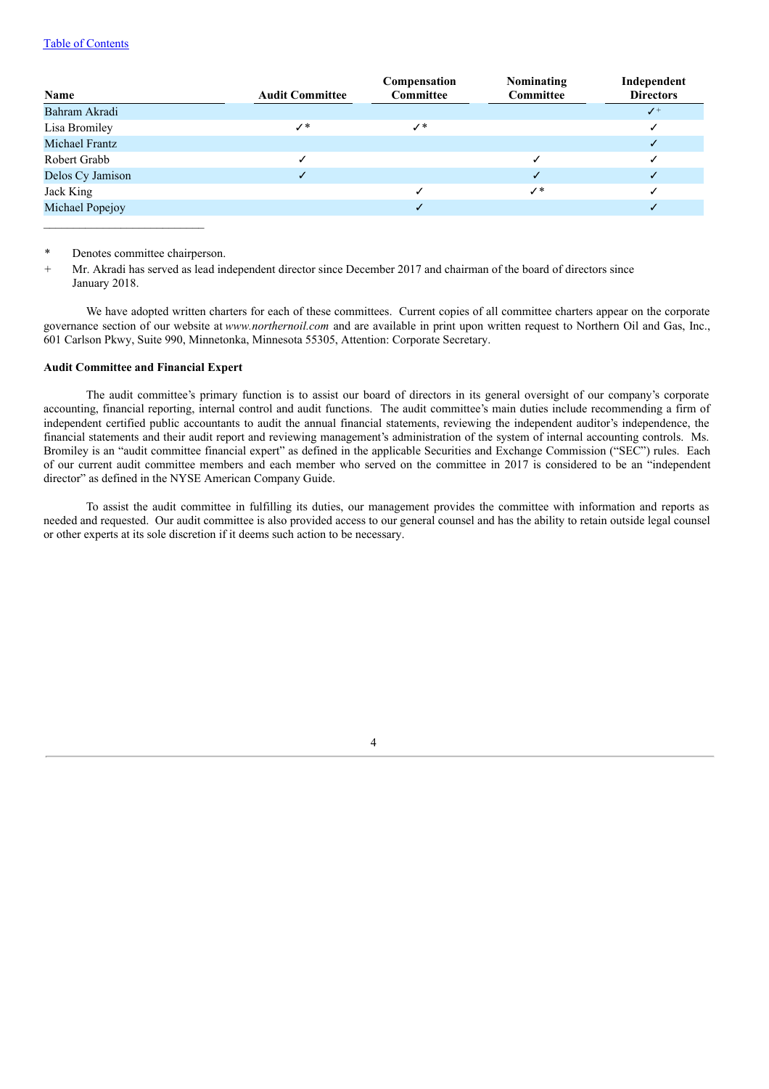### Table of Contents

|                       | <b>Audit Committee</b> | Compensation<br><b>Committee</b> | Nominating<br>Committee | Independent<br><b>Directors</b> |
|-----------------------|------------------------|----------------------------------|-------------------------|---------------------------------|
| Name                  |                        |                                  |                         |                                 |
| Bahram Akradi         |                        |                                  |                         | $\checkmark$                    |
| Lisa Bromiley         | ✓∗                     | ✓∗                               |                         |                                 |
| <b>Michael Frantz</b> |                        |                                  |                         |                                 |
| Robert Grabb          |                        |                                  |                         |                                 |
| Delos Cy Jamison      |                        |                                  |                         |                                 |
| Jack King             |                        |                                  | ✓∗                      |                                 |
| Michael Popejoy       |                        |                                  |                         |                                 |
|                       |                        |                                  |                         |                                 |

Denotes committee chairperson.

Mr. Akradi has served as lead independent director since December 2017 and chairman of the board of directors since January 2018.

We have adopted written charters for each of these committees. Current copies of all committee charters appear on the corporate governance section of our website at *www.northernoil.com* and are available in print upon written request to Northern Oil and Gas, Inc., 601 Carlson Pkwy, Suite 990, Minnetonka, Minnesota 55305, Attention: Corporate Secretary.

### **Audit Committee and Financial Expert**

The audit committee's primary function is to assist our board of directors in its general oversight of our company's corporate accounting, financial reporting, internal control and audit functions. The audit committee's main duties include recommending a firm of independent certified public accountants to audit the annual financial statements, reviewing the independent auditor's independence, the financial statements and their audit report and reviewing management's administration of the system of internal accounting controls. Ms. Bromiley is an "audit committee financial expert" as defined in the applicable Securities and Exchange Commission ("SEC") rules. Each of our current audit committee members and each member who served on the committee in 2017 is considered to be an "independent director" as defined in the NYSE American Company Guide.

To assist the audit committee in fulfilling its duties, our management provides the committee with information and reports as needed and requested. Our audit committee is also provided access to our general counsel and has the ability to retain outside legal counsel or other experts at its sole discretion if it deems such action to be necessary.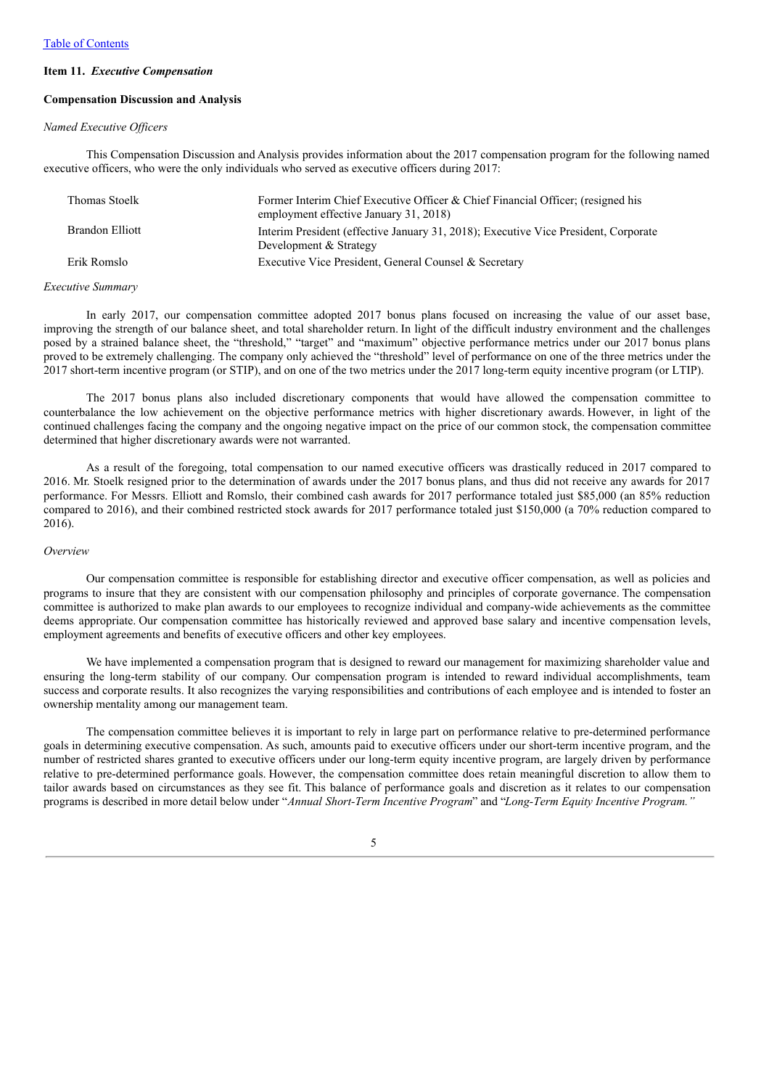#### **Item 11.** *Executive Compensation*

#### **Compensation Discussion and Analysis**

### *Named Executive Of icers*

This Compensation Discussion and Analysis provides information about the 2017 compensation program for the following named executive officers, who were the only individuals who served as executive officers during 2017:

| Thomas Stoelk   | Former Interim Chief Executive Officer & Chief Financial Officer; (resigned his<br>employment effective January 31, 2018) |
|-----------------|---------------------------------------------------------------------------------------------------------------------------|
| Brandon Elliott | Interim President (effective January 31, 2018); Executive Vice President, Corporate<br>Development & Strategy             |
| Erik Romslo     | Executive Vice President, General Counsel & Secretary                                                                     |

#### *Executive Summary*

In early 2017, our compensation committee adopted 2017 bonus plans focused on increasing the value of our asset base, improving the strength of our balance sheet, and total shareholder return. In light of the difficult industry environment and the challenges posed by a strained balance sheet, the "threshold," "target" and "maximum" objective performance metrics under our 2017 bonus plans proved to be extremely challenging. The company only achieved the "threshold" level of performance on one of the three metrics under the 2017 short-term incentive program (or STIP), and on one of the two metrics under the 2017 long-term equity incentive program (or LTIP).

The 2017 bonus plans also included discretionary components that would have allowed the compensation committee to counterbalance the low achievement on the objective performance metrics with higher discretionary awards. However, in light of the continued challenges facing the company and the ongoing negative impact on the price of our common stock, the compensation committee determined that higher discretionary awards were not warranted.

As a result of the foregoing, total compensation to our named executive officers was drastically reduced in 2017 compared to 2016. Mr. Stoelk resigned prior to the determination of awards under the 2017 bonus plans, and thus did not receive any awards for 2017 performance. For Messrs. Elliott and Romslo, their combined cash awards for 2017 performance totaled just \$85,000 (an 85% reduction compared to 2016), and their combined restricted stock awards for 2017 performance totaled just \$150,000 (a 70% reduction compared to 2016).

#### *Overview*

Our compensation committee is responsible for establishing director and executive officer compensation, as well as policies and programs to insure that they are consistent with our compensation philosophy and principles of corporate governance. The compensation committee is authorized to make plan awards to our employees to recognize individual and company-wide achievements as the committee deems appropriate. Our compensation committee has historically reviewed and approved base salary and incentive compensation levels, employment agreements and benefits of executive officers and other key employees.

We have implemented a compensation program that is designed to reward our management for maximizing shareholder value and ensuring the long-term stability of our company. Our compensation program is intended to reward individual accomplishments, team success and corporate results. It also recognizes the varying responsibilities and contributions of each employee and is intended to foster an ownership mentality among our management team.

The compensation committee believes it is important to rely in large part on performance relative to pre-determined performance goals in determining executive compensation. As such, amounts paid to executive officers under our short-term incentive program, and the number of restricted shares granted to executive officers under our long-term equity incentive program, are largely driven by performance relative to pre-determined performance goals. However, the compensation committee does retain meaningful discretion to allow them to tailor awards based on circumstances as they see fit. This balance of performance goals and discretion as it relates to our compensation programs is described in more detail below under "*Annual Short-Term Incentive Program*" and "*Long-Term Equity Incentive Program."*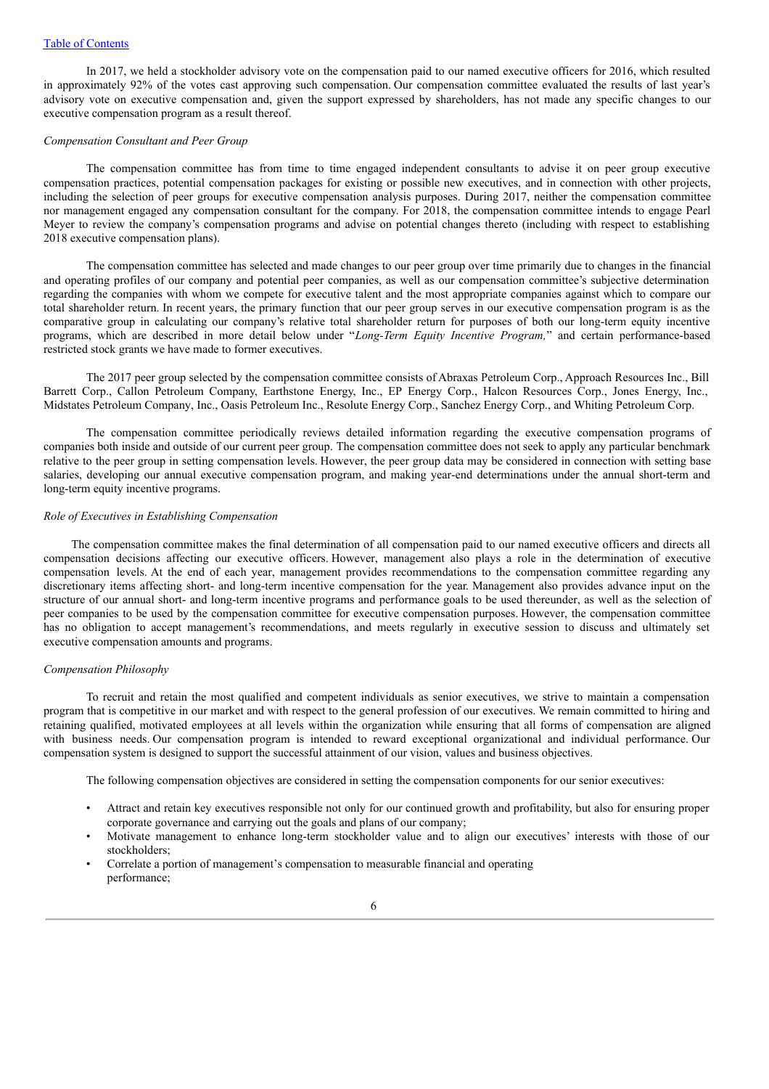In 2017, we held a stockholder advisory vote on the compensation paid to our named executive officers for 2016, which resulted in approximately 92% of the votes cast approving such compensation. Our compensation committee evaluated the results of last year's advisory vote on executive compensation and, given the support expressed by shareholders, has not made any specific changes to our executive compensation program as a result thereof.

### *Compensation Consultant and Peer Group*

The compensation committee has from time to time engaged independent consultants to advise it on peer group executive compensation practices, potential compensation packages for existing or possible new executives, and in connection with other projects, including the selection of peer groups for executive compensation analysis purposes. During 2017, neither the compensation committee nor management engaged any compensation consultant for the company. For 2018, the compensation committee intends to engage Pearl Meyer to review the company's compensation programs and advise on potential changes thereto (including with respect to establishing 2018 executive compensation plans).

The compensation committee has selected and made changes to our peer group over time primarily due to changes in the financial and operating profiles of our company and potential peer companies, as well as our compensation committee's subjective determination regarding the companies with whom we compete for executive talent and the most appropriate companies against which to compare our total shareholder return. In recent years, the primary function that our peer group serves in our executive compensation program is as the comparative group in calculating our company's relative total shareholder return for purposes of both our long-term equity incentive programs, which are described in more detail below under "*Long-Term Equity Incentive Program,*" and certain performance-based restricted stock grants we have made to former executives.

The 2017 peer group selected by the compensation committee consists of Abraxas Petroleum Corp., Approach Resources Inc., Bill Barrett Corp., Callon Petroleum Company, Earthstone Energy, Inc., EP Energy Corp., Halcon Resources Corp., Jones Energy, Inc., Midstates Petroleum Company, Inc., Oasis Petroleum Inc., Resolute Energy Corp., Sanchez Energy Corp., and Whiting Petroleum Corp.

The compensation committee periodically reviews detailed information regarding the executive compensation programs of companies both inside and outside of our current peer group. The compensation committee does not seek to apply any particular benchmark relative to the peer group in setting compensation levels. However, the peer group data may be considered in connection with setting base salaries, developing our annual executive compensation program, and making year-end determinations under the annual short-term and long-term equity incentive programs.

### *Role of Executives in Establishing Compensation*

The compensation committee makes the final determination of all compensation paid to our named executive officers and directs all compensation decisions affecting our executive officers. However, management also plays a role in the determination of executive compensation levels. At the end of each year, management provides recommendations to the compensation committee regarding any discretionary items affecting short- and long-term incentive compensation for the year. Management also provides advance input on the structure of our annual short- and long-term incentive programs and performance goals to be used thereunder, as well as the selection of peer companies to be used by the compensation committee for executive compensation purposes. However, the compensation committee has no obligation to accept management's recommendations, and meets regularly in executive session to discuss and ultimately set executive compensation amounts and programs.

#### *Compensation Philosophy*

To recruit and retain the most qualified and competent individuals as senior executives, we strive to maintain a compensation program that is competitive in our market and with respect to the general profession of our executives. We remain committed to hiring and retaining qualified, motivated employees at all levels within the organization while ensuring that all forms of compensation are aligned with business needs. Our compensation program is intended to reward exceptional organizational and individual performance. Our compensation system is designed to support the successful attainment of our vision, values and business objectives.

The following compensation objectives are considered in setting the compensation components for our senior executives:

- Attract and retain key executives responsible not only for our continued growth and profitability, but also for ensuring proper corporate governance and carrying out the goals and plans of our company;
- Motivate management to enhance long-term stockholder value and to align our executives' interests with those of our stockholders;
- Correlate a portion of management's compensation to measurable financial and operating performance;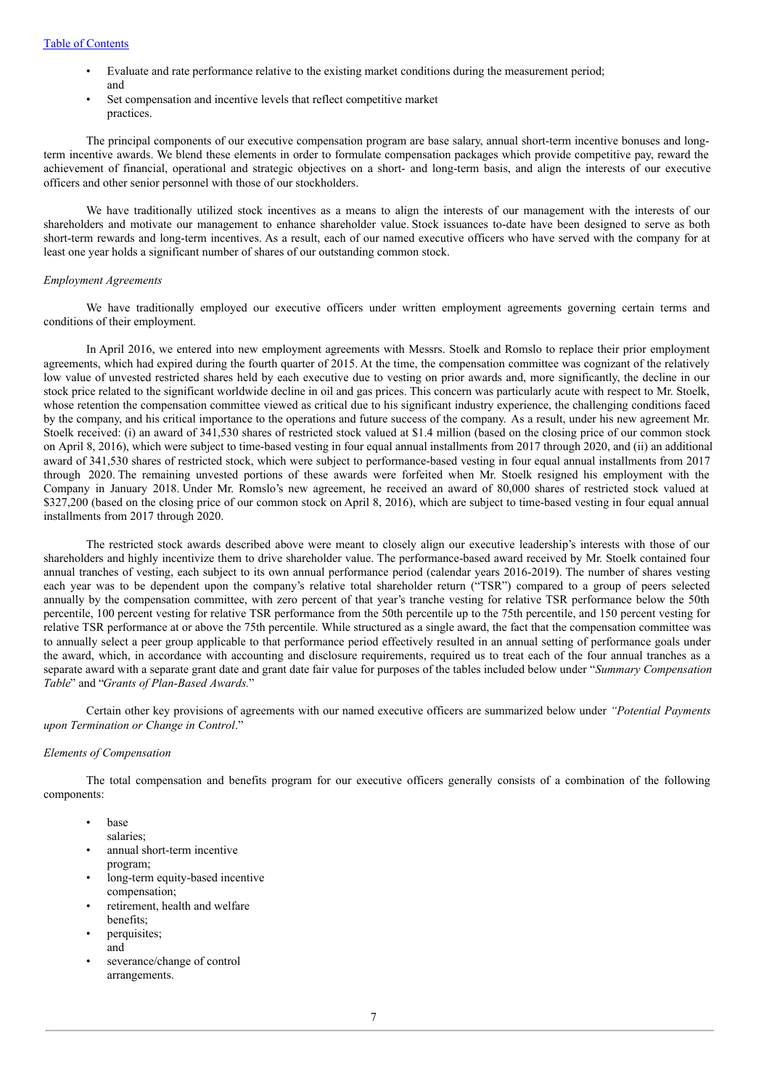### Table of Contents

- Evaluate and rate performance relative to the existing market conditions during the measurement period; and
- Set compensation and incentive levels that reflect competitive market practices.

The principal components of our executive compensation program are base salary, annual short-term incentive bonuses and longterm incentive awards. We blend these elements in order to formulate compensation packages which provide competitive pay, reward the achievement of financial, operational and strategic objectives on a short- and long-term basis, and align the interests of our executive officers and other senior personnel with those of our stockholders.

We have traditionally utilized stock incentives as a means to align the interests of our management with the interests of our shareholders and motivate our management to enhance shareholder value. Stock issuances to-date have been designed to serve as both short-term rewards and long-term incentives. As a result, each of our named executive officers who have served with the company for at least one year holds a significant number of shares of our outstanding common stock.

#### *Employment Agreements*

We have traditionally employed our executive officers under written employment agreements governing certain terms and conditions of their employment.

In April 2016, we entered into new employment agreements with Messrs. Stoelk and Romslo to replace their prior employment agreements, which had expired during the fourth quarter of 2015. At the time, the compensation committee was cognizant of the relatively low value of unvested restricted shares held by each executive due to vesting on prior awards and, more significantly, the decline in our stock price related to the significant worldwide decline in oil and gas prices. This concern was particularly acute with respect to Mr. Stoelk, whose retention the compensation committee viewed as critical due to his significant industry experience, the challenging conditions faced by the company, and his critical importance to the operations and future success of the company. As a result, under his new agreement Mr. Stoelk received: (i) an award of 341,530 shares of restricted stock valued at \$1.4 million (based on the closing price of our common stock on April 8, 2016), which were subject to time-based vesting in four equal annual installments from 2017 through 2020, and (ii) an additional award of 341,530 shares of restricted stock, which were subject to performance-based vesting in four equal annual installments from 2017 through 2020. The remaining unvested portions of these awards were forfeited when Mr. Stoelk resigned his employment with the Company in January 2018. Under Mr. Romslo's new agreement, he received an award of 80,000 shares of restricted stock valued at \$327,200 (based on the closing price of our common stock on April 8, 2016), which are subject to time-based vesting in four equal annual installments from 2017 through 2020.

The restricted stock awards described above were meant to closely align our executive leadership's interests with those of our shareholders and highly incentivize them to drive shareholder value. The performance-based award received by Mr. Stoelk contained four annual tranches of vesting, each subject to its own annual performance period (calendar years 2016-2019). The number of shares vesting each year was to be dependent upon the company's relative total shareholder return ("TSR") compared to a group of peers selected annually by the compensation committee, with zero percent of that year's tranche vesting for relative TSR performance below the 50th percentile, 100 percent vesting for relative TSR performance from the 50th percentile up to the 75th percentile, and 150 percent vesting for relative TSR performance at or above the 75th percentile. While structured as a single award, the fact that the compensation committee was to annually select a peer group applicable to that performance period effectively resulted in an annual setting of performance goals under the award, which, in accordance with accounting and disclosure requirements, required us to treat each of the four annual tranches as a separate award with a separate grant date and grant date fair value for purposes of the tables included below under "*Summary Compensation Table*" and "*Grants of Plan-Based Awards.*"

Certain other key provisions of agreements with our named executive officers are summarized below under *"Potential Payments upon Termination or Change in Control*."

#### *Elements of Compensation*

The total compensation and benefits program for our executive officers generally consists of a combination of the following components:

- base
	- salaries;
- annual short-term incentive program;
- long-term equity-based incentive compensation;
- retirement, health and welfare benefits;
- perquisites; and
- severance/change of control arrangements.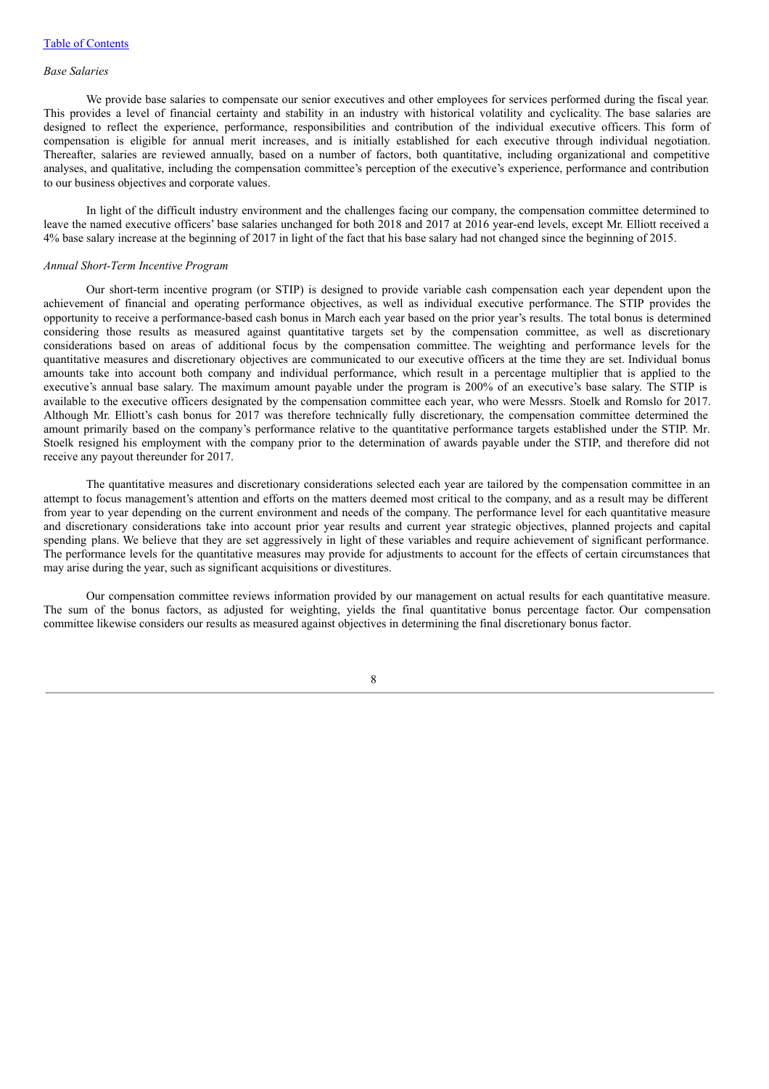#### *Base Salaries*

We provide base salaries to compensate our senior executives and other employees for services performed during the fiscal year. This provides a level of financial certainty and stability in an industry with historical volatility and cyclicality. The base salaries are designed to reflect the experience, performance, responsibilities and contribution of the individual executive officers. This form of compensation is eligible for annual merit increases, and is initially established for each executive through individual negotiation. Thereafter, salaries are reviewed annually, based on a number of factors, both quantitative, including organizational and competitive analyses, and qualitative, including the compensation committee's perception of the executive's experience, performance and contribution to our business objectives and corporate values.

In light of the difficult industry environment and the challenges facing our company, the compensation committee determined to leave the named executive officers' base salaries unchanged for both 2018 and 2017 at 2016 year-end levels, except Mr. Elliott received a 4% base salary increase at the beginning of 2017 in light of the fact that his base salary had not changed since the beginning of 2015.

#### *Annual Short-Term Incentive Program*

Our short-term incentive program (or STIP) is designed to provide variable cash compensation each year dependent upon the achievement of financial and operating performance objectives, as well as individual executive performance. The STIP provides the opportunity to receive a performance-based cash bonus in March each year based on the prior year's results. The total bonus is determined considering those results as measured against quantitative targets set by the compensation committee, as well as discretionary considerations based on areas of additional focus by the compensation committee. The weighting and performance levels for the quantitative measures and discretionary objectives are communicated to our executive officers at the time they are set. Individual bonus amounts take into account both company and individual performance, which result in a percentage multiplier that is applied to the executive's annual base salary. The maximum amount payable under the program is 200% of an executive's base salary. The STIP is available to the executive officers designated by the compensation committee each year, who were Messrs. Stoelk and Romslo for 2017. Although Mr. Elliott's cash bonus for 2017 was therefore technically fully discretionary, the compensation committee determined the amount primarily based on the company's performance relative to the quantitative performance targets established under the STIP. Mr. Stoelk resigned his employment with the company prior to the determination of awards payable under the STIP, and therefore did not receive any payout thereunder for 2017.

The quantitative measures and discretionary considerations selected each year are tailored by the compensation committee in an attempt to focus management's attention and efforts on the matters deemed most critical to the company, and as a result may be different from year to year depending on the current environment and needs of the company. The performance level for each quantitative measure and discretionary considerations take into account prior year results and current year strategic objectives, planned projects and capital spending plans. We believe that they are set aggressively in light of these variables and require achievement of significant performance. The performance levels for the quantitative measures may provide for adjustments to account for the effects of certain circumstances that may arise during the year, such as significant acquisitions or divestitures.

Our compensation committee reviews information provided by our management on actual results for each quantitative measure. The sum of the bonus factors, as adjusted for weighting, yields the final quantitative bonus percentage factor. Our compensation committee likewise considers our results as measured against objectives in determining the final discretionary bonus factor.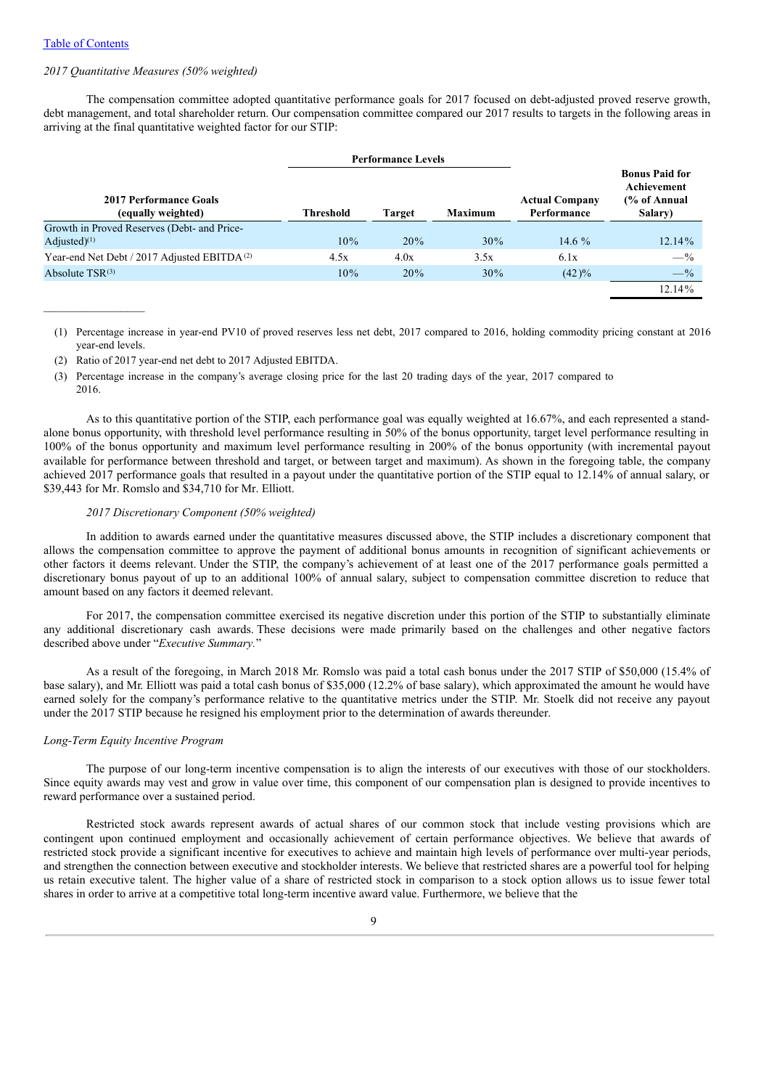$\mathcal{L}_\text{max}$ 

### *2017 Quantitative Measures (50% weighted)*

The compensation committee adopted quantitative performance goals for 2017 focused on debt-adjusted proved reserve growth, debt management, and total shareholder return. Our compensation committee compared our 2017 results to targets in the following areas in arriving at the final quantitative weighted factor for our STIP:

|                                                         |                  | <b>Performance Levels</b> |                |                                      |                                                                            |
|---------------------------------------------------------|------------------|---------------------------|----------------|--------------------------------------|----------------------------------------------------------------------------|
| 2017 Performance Goals<br>(equally weighted)            | <b>Threshold</b> | <b>Target</b>             | <b>Maximum</b> | <b>Actual Company</b><br>Performance | <b>Bonus Paid for</b><br>Achievement<br>$\frac{6}{6}$ of Annual<br>Salary) |
| Growth in Proved Reserves (Debt- and Price-             |                  |                           |                |                                      |                                                                            |
| Adjusted $(1)$                                          | 10%              | 20%                       | 30%            | 14.6 $%$                             | $12.14\%$                                                                  |
| Year-end Net Debt / 2017 Adjusted EBITDA <sup>(2)</sup> | 4.5x             | 4.0x                      | 3.5x           | 6.1x                                 | $-$ %                                                                      |
| Absolute $TSR^{(3)}$                                    | 10%              | 20%                       | 30%            | $(42)\%$                             | $- \frac{9}{6}$                                                            |
|                                                         |                  |                           |                |                                      | 12.14%                                                                     |

(1) Percentage increase in year-end PV10 of proved reserves less net debt, 2017 compared to 2016, holding commodity pricing constant at 2016 year-end levels.

(2) Ratio of 2017 year-end net debt to 2017 Adjusted EBITDA.

(3) Percentage increase in the company's average closing price for the last 20 trading days of the year, 2017 compared to 2016.

As to this quantitative portion of the STIP, each performance goal was equally weighted at 16.67%, and each represented a standalone bonus opportunity, with threshold level performance resulting in 50% of the bonus opportunity, target level performance resulting in 100% of the bonus opportunity and maximum level performance resulting in 200% of the bonus opportunity (with incremental payout available for performance between threshold and target, or between target and maximum). As shown in the foregoing table, the company achieved 2017 performance goals that resulted in a payout under the quantitative portion of the STIP equal to 12.14% of annual salary, or \$39,443 for Mr. Romslo and \$34,710 for Mr. Elliott.

### *2017 Discretionary Component (50% weighted)*

In addition to awards earned under the quantitative measures discussed above, the STIP includes a discretionary component that allows the compensation committee to approve the payment of additional bonus amounts in recognition of significant achievements or other factors it deems relevant. Under the STIP, the company's achievement of at least one of the 2017 performance goals permitted a discretionary bonus payout of up to an additional 100% of annual salary, subject to compensation committee discretion to reduce that amount based on any factors it deemed relevant.

For 2017, the compensation committee exercised its negative discretion under this portion of the STIP to substantially eliminate any additional discretionary cash awards. These decisions were made primarily based on the challenges and other negative factors described above under "*Executive Summary.*"

As a result of the foregoing, in March 2018 Mr. Romslo was paid a total cash bonus under the 2017 STIP of \$50,000 (15.4% of base salary), and Mr. Elliott was paid a total cash bonus of \$35,000 (12.2% of base salary), which approximated the amount he would have earned solely for the company's performance relative to the quantitative metrics under the STIP. Mr. Stoelk did not receive any payout under the 2017 STIP because he resigned his employment prior to the determination of awards thereunder.

#### *Long-Term Equity Incentive Program*

The purpose of our long-term incentive compensation is to align the interests of our executives with those of our stockholders. Since equity awards may vest and grow in value over time, this component of our compensation plan is designed to provide incentives to reward performance over a sustained period.

Restricted stock awards represent awards of actual shares of our common stock that include vesting provisions which are contingent upon continued employment and occasionally achievement of certain performance objectives. We believe that awards of restricted stock provide a significant incentive for executives to achieve and maintain high levels of performance over multi-year periods, and strengthen the connection between executive and stockholder interests. We believe that restricted shares are a powerful tool for helping us retain executive talent. The higher value of a share of restricted stock in comparison to a stock option allows us to issue fewer total shares in order to arrive at a competitive total long-term incentive award value. Furthermore, we believe that the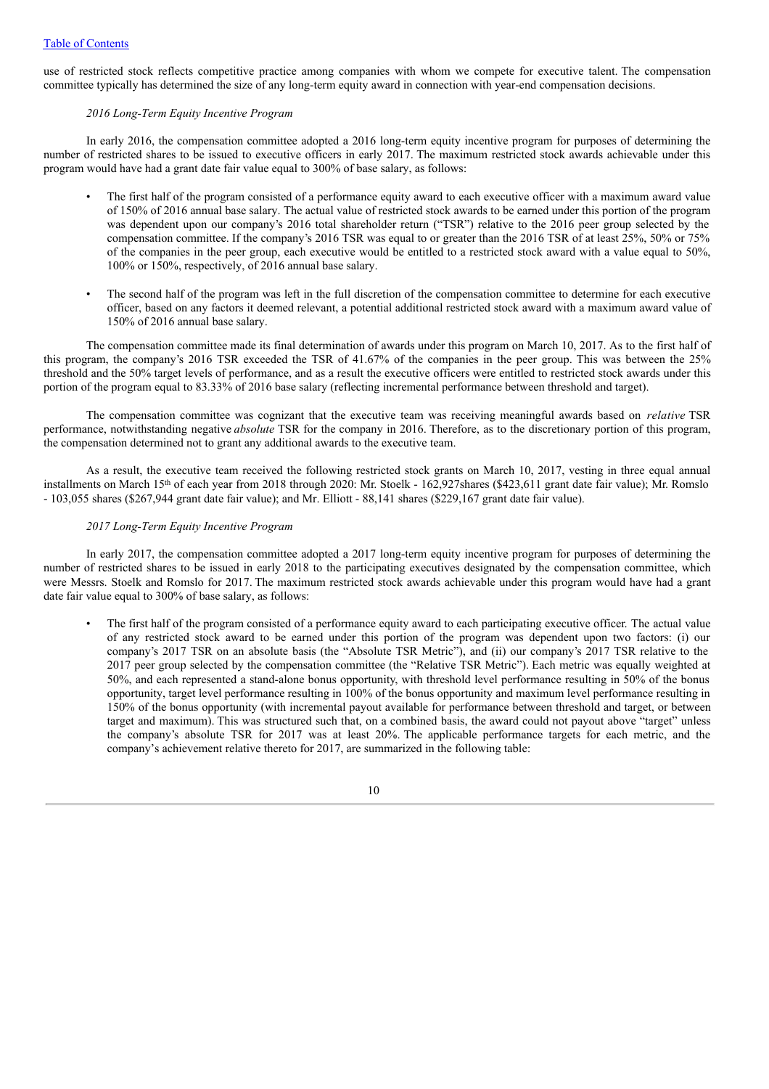use of restricted stock reflects competitive practice among companies with whom we compete for executive talent. The compensation committee typically has determined the size of any long-term equity award in connection with year-end compensation decisions.

### *2016 Long-Term Equity Incentive Program*

In early 2016, the compensation committee adopted a 2016 long-term equity incentive program for purposes of determining the number of restricted shares to be issued to executive officers in early 2017. The maximum restricted stock awards achievable under this program would have had a grant date fair value equal to 300% of base salary, as follows:

- The first half of the program consisted of a performance equity award to each executive officer with a maximum award value of 150% of 2016 annual base salary. The actual value of restricted stock awards to be earned under this portion of the program was dependent upon our company's 2016 total shareholder return ("TSR") relative to the 2016 peer group selected by the compensation committee. If the company's 2016 TSR was equal to or greater than the 2016 TSR of at least 25%, 50% or 75% of the companies in the peer group, each executive would be entitled to a restricted stock award with a value equal to 50%, 100% or 150%, respectively, of 2016 annual base salary.
- The second half of the program was left in the full discretion of the compensation committee to determine for each executive officer, based on any factors it deemed relevant, a potential additional restricted stock award with a maximum award value of 150% of 2016 annual base salary.

The compensation committee made its final determination of awards under this program on March 10, 2017. As to the first half of this program, the company's 2016 TSR exceeded the TSR of 41.67% of the companies in the peer group. This was between the 25% threshold and the 50% target levels of performance, and as a result the executive officers were entitled to restricted stock awards under this portion of the program equal to 83.33% of 2016 base salary (reflecting incremental performance between threshold and target).

The compensation committee was cognizant that the executive team was receiving meaningful awards based on *relative* TSR performance, notwithstanding negative *absolute* TSR for the company in 2016. Therefore, as to the discretionary portion of this program, the compensation determined not to grant any additional awards to the executive team.

As a result, the executive team received the following restricted stock grants on March 10, 2017, vesting in three equal annual installments on March 15<sup>th</sup> of each year from 2018 through 2020: Mr. Stoelk - 162,927shares (\$423,611 grant date fair value); Mr. Romslo - 103,055 shares (\$267,944 grant date fair value); and Mr. Elliott - 88,141 shares (\$229,167 grant date fair value).

### *2017 Long-Term Equity Incentive Program*

In early 2017, the compensation committee adopted a 2017 long-term equity incentive program for purposes of determining the number of restricted shares to be issued in early 2018 to the participating executives designated by the compensation committee, which were Messrs. Stoelk and Romslo for 2017. The maximum restricted stock awards achievable under this program would have had a grant date fair value equal to 300% of base salary, as follows:

• The first half of the program consisted of a performance equity award to each participating executive officer. The actual value of any restricted stock award to be earned under this portion of the program was dependent upon two factors: (i) our company's 2017 TSR on an absolute basis (the "Absolute TSR Metric"), and (ii) our company's 2017 TSR relative to the 2017 peer group selected by the compensation committee (the "Relative TSR Metric"). Each metric was equally weighted at 50%, and each represented a stand-alone bonus opportunity, with threshold level performance resulting in 50% of the bonus opportunity, target level performance resulting in 100% of the bonus opportunity and maximum level performance resulting in 150% of the bonus opportunity (with incremental payout available for performance between threshold and target, or between target and maximum). This was structured such that, on a combined basis, the award could not payout above "target" unless the company's absolute TSR for 2017 was at least 20%. The applicable performance targets for each metric, and the company's achievement relative thereto for 2017, are summarized in the following table:

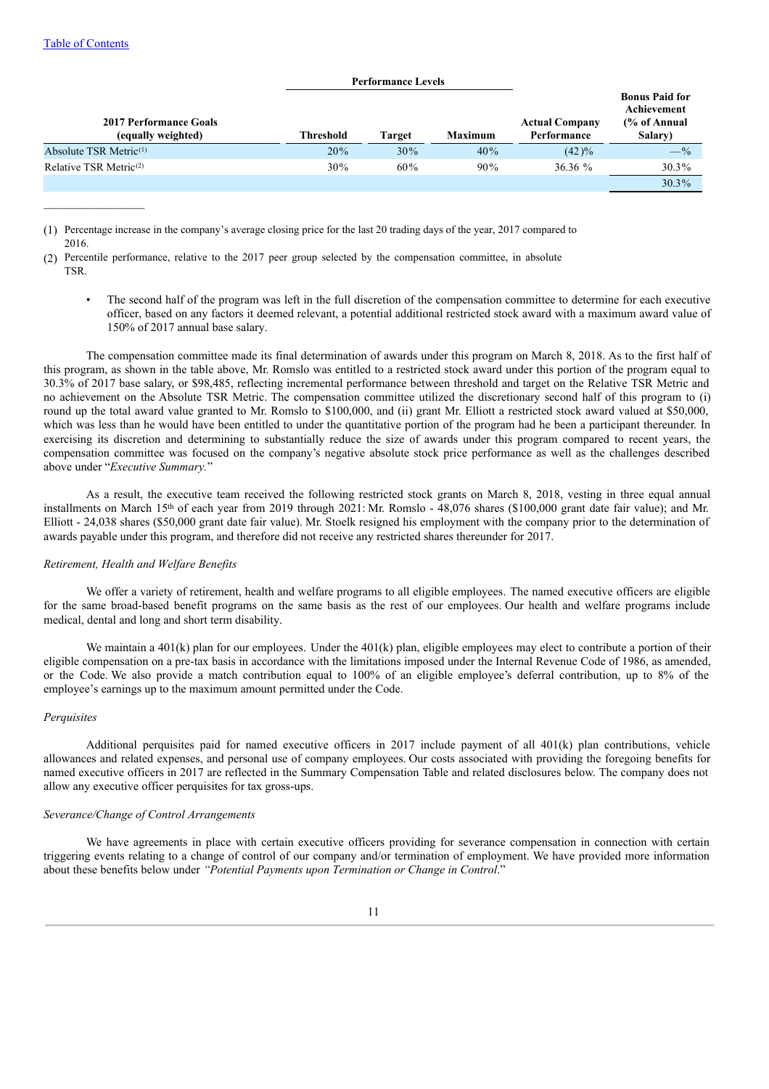| <b>Threshold</b> | Target | <b>Maximum</b> | <b>Actual Company</b><br>Performance | <b>Bonus Paid for</b><br>Achievement<br>$\frac{6}{6}$ of Annual<br>Salary) |
|------------------|--------|----------------|--------------------------------------|----------------------------------------------------------------------------|
| 20%              | 30%    | 40%            | $(42)\%$                             | $-$ %                                                                      |
| $30\%$           | 60%    | 90%            | 36.36%                               | $30.3\%$                                                                   |
|                  |        |                |                                      | $30.3\%$                                                                   |
|                  |        |                |                                      |                                                                            |

**Performance Levels**

(1) Percentage increase in the company's average closing price for the last 20 trading days of the year, 2017 compared to 2016.

- (2) Percentile performance, relative to the 2017 peer group selected by the compensation committee, in absolute TSR.
	- The second half of the program was left in the full discretion of the compensation committee to determine for each executive officer, based on any factors it deemed relevant, a potential additional restricted stock award with a maximum award value of 150% of 2017 annual base salary.

The compensation committee made its final determination of awards under this program on March 8, 2018. As to the first half of this program, as shown in the table above, Mr. Romslo was entitled to a restricted stock award under this portion of the program equal to 30.3% of 2017 base salary, or \$98,485, reflecting incremental performance between threshold and target on the Relative TSR Metric and no achievement on the Absolute TSR Metric. The compensation committee utilized the discretionary second half of this program to (i) round up the total award value granted to Mr. Romslo to \$100,000, and (ii) grant Mr. Elliott a restricted stock award valued at \$50,000, which was less than he would have been entitled to under the quantitative portion of the program had he been a participant thereunder. In exercising its discretion and determining to substantially reduce the size of awards under this program compared to recent years, the compensation committee was focused on the company's negative absolute stock price performance as well as the challenges described above under "*Executive Summary.*"

As a result, the executive team received the following restricted stock grants on March 8, 2018, vesting in three equal annual installments on March 15<sup>th</sup> of each year from 2019 through 2021: Mr. Romslo - 48,076 shares (\$100,000 grant date fair value); and Mr. Elliott - 24,038 shares (\$50,000 grant date fair value). Mr. Stoelk resigned his employment with the company prior to the determination of awards payable under this program, and therefore did not receive any restricted shares thereunder for 2017.

### *Retirement, Health and Welfare Benefits*

We offer a variety of retirement, health and welfare programs to all eligible employees. The named executive officers are eligible for the same broad-based benefit programs on the same basis as the rest of our employees. Our health and welfare programs include medical, dental and long and short term disability.

We maintain a 401(k) plan for our employees. Under the 401(k) plan, eligible employees may elect to contribute a portion of their eligible compensation on a pre-tax basis in accordance with the limitations imposed under the Internal Revenue Code of 1986, as amended, or the Code. We also provide a match contribution equal to 100% of an eligible employee's deferral contribution, up to 8% of the employee's earnings up to the maximum amount permitted under the Code.

#### *Perquisites*

Additional perquisites paid for named executive officers in 2017 include payment of all 401(k) plan contributions, vehicle allowances and related expenses, and personal use of company employees. Our costs associated with providing the foregoing benefits for named executive officers in 2017 are reflected in the Summary Compensation Table and related disclosures below. The company does not allow any executive officer perquisites for tax gross-ups.

#### *Severance/Change of Control Arrangements*

We have agreements in place with certain executive officers providing for severance compensation in connection with certain triggering events relating to a change of control of our company and/or termination of employment. We have provided more information about these benefits below under *"Potential Payments upon Termination or Change in Control*."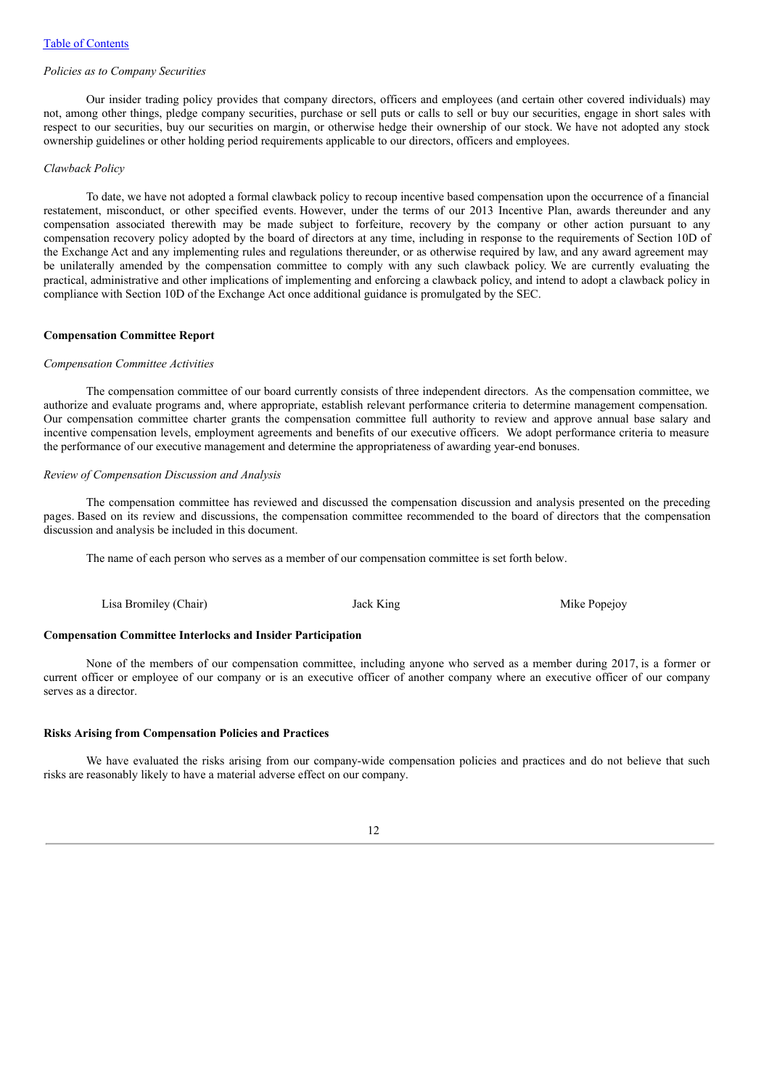#### *Policies as to Company Securities*

Our insider trading policy provides that company directors, officers and employees (and certain other covered individuals) may not, among other things, pledge company securities, purchase or sell puts or calls to sell or buy our securities, engage in short sales with respect to our securities, buy our securities on margin, or otherwise hedge their ownership of our stock. We have not adopted any stock ownership guidelines or other holding period requirements applicable to our directors, officers and employees.

### *Clawback Policy*

To date, we have not adopted a formal clawback policy to recoup incentive based compensation upon the occurrence of a financial restatement, misconduct, or other specified events. However, under the terms of our 2013 Incentive Plan, awards thereunder and any compensation associated therewith may be made subject to forfeiture, recovery by the company or other action pursuant to any compensation recovery policy adopted by the board of directors at any time, including in response to the requirements of Section 10D of the Exchange Act and any implementing rules and regulations thereunder, or as otherwise required by law, and any award agreement may be unilaterally amended by the compensation committee to comply with any such clawback policy. We are currently evaluating the practical, administrative and other implications of implementing and enforcing a clawback policy, and intend to adopt a clawback policy in compliance with Section 10D of the Exchange Act once additional guidance is promulgated by the SEC.

#### **Compensation Committee Report**

#### *Compensation Committee Activities*

The compensation committee of our board currently consists of three independent directors. As the compensation committee, we authorize and evaluate programs and, where appropriate, establish relevant performance criteria to determine management compensation. Our compensation committee charter grants the compensation committee full authority to review and approve annual base salary and incentive compensation levels, employment agreements and benefits of our executive officers. We adopt performance criteria to measure the performance of our executive management and determine the appropriateness of awarding year-end bonuses.

### *Review of Compensation Discussion and Analysis*

The compensation committee has reviewed and discussed the compensation discussion and analysis presented on the preceding pages. Based on its review and discussions, the compensation committee recommended to the board of directors that the compensation discussion and analysis be included in this document.

The name of each person who serves as a member of our compensation committee is set forth below.

Lisa Bromiley (Chair) **State Popelisa Bromiley (Chair)** Jack King Mike Popejoy

### **Compensation Committee Interlocks and Insider Participation**

None of the members of our compensation committee, including anyone who served as a member during 2017, is a former or current officer or employee of our company or is an executive officer of another company where an executive officer of our company serves as a director.

### **Risks Arising from Compensation Policies and Practices**

We have evaluated the risks arising from our company-wide compensation policies and practices and do not believe that such risks are reasonably likely to have a material adverse effect on our company.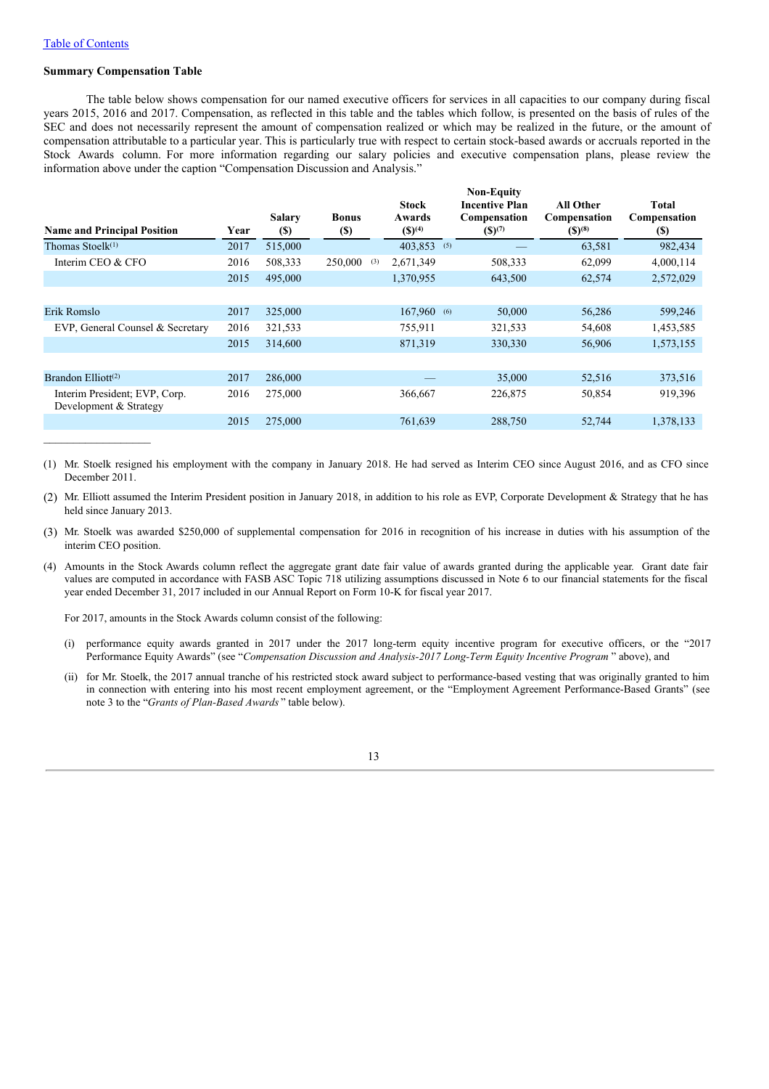#### **Summary Compensation Table**

The table below shows compensation for our named executive officers for services in all capacities to our company during fiscal years 2015, 2016 and 2017. Compensation, as reflected in this table and the tables which follow, is presented on the basis of rules of the SEC and does not necessarily represent the amount of compensation realized or which may be realized in the future, or the amount of compensation attributable to a particular year. This is particularly true with respect to certain stock-based awards or accruals reported in the Stock Awards column. For more information regarding our salary policies and executive compensation plans, please review the information above under the caption "Compensation Discussion and Analysis."

| <b>Name and Principal Position</b>                      | Year | <b>Salary</b><br><b>(\$)</b> | <b>Bonus</b><br><b>(\$)</b> | <b>Stock</b><br>Awards<br>$({\mathbb{S}})^{(4)}$ |     | <b>Non-Equity</b><br><b>Incentive Plan</b><br>Compensation<br>$(S)^{(7)}$ | <b>All Other</b><br>Compensation<br>$($ )^{(8)} | Total<br>Compensation<br>(S) |
|---------------------------------------------------------|------|------------------------------|-----------------------------|--------------------------------------------------|-----|---------------------------------------------------------------------------|-------------------------------------------------|------------------------------|
| Thomas Stoel $k$ <sup>(1)</sup>                         | 2017 | 515,000                      |                             | 403,853                                          | (5) |                                                                           | 63,581                                          | 982,434                      |
| Interim CEO & CFO                                       | 2016 | 508,333                      | 250,000<br>(3)              | 2,671,349                                        |     | 508,333                                                                   | 62,099                                          | 4,000,114                    |
|                                                         | 2015 | 495,000                      |                             | 1,370,955                                        |     | 643,500                                                                   | 62,574                                          | 2,572,029                    |
|                                                         |      |                              |                             |                                                  |     |                                                                           |                                                 |                              |
| Erik Romslo                                             | 2017 | 325,000                      |                             | 167,960 (6)                                      |     | 50,000                                                                    | 56,286                                          | 599,246                      |
| EVP, General Counsel & Secretary                        | 2016 | 321,533                      |                             | 755,911                                          |     | 321,533                                                                   | 54,608                                          | 1,453,585                    |
|                                                         | 2015 | 314,600                      |                             | 871,319                                          |     | 330,330                                                                   | 56,906                                          | 1,573,155                    |
|                                                         |      |                              |                             |                                                  |     |                                                                           |                                                 |                              |
| Brandon Elliott <sup>(2)</sup>                          | 2017 | 286,000                      |                             |                                                  |     | 35,000                                                                    | 52,516                                          | 373,516                      |
| Interim President; EVP, Corp.<br>Development & Strategy | 2016 | 275,000                      |                             | 366,667                                          |     | 226,875                                                                   | 50,854                                          | 919,396                      |
|                                                         | 2015 | 275,000                      |                             | 761,639                                          |     | 288,750                                                                   | 52,744                                          | 1,378,133                    |
|                                                         |      |                              |                             |                                                  |     |                                                                           |                                                 |                              |

(1) Mr. Stoelk resigned his employment with the company in January 2018. He had served as Interim CEO since August 2016, and as CFO since December 2011.

- (2) Mr. Elliott assumed the Interim President position in January 2018, in addition to his role as EVP, Corporate Development & Strategy that he has held since January 2013.
- (3) Mr. Stoelk was awarded \$250,000 of supplemental compensation for 2016 in recognition of his increase in duties with his assumption of the interim CEO position.
- (4) Amounts in the Stock Awards column reflect the aggregate grant date fair value of awards granted during the applicable year. Grant date fair values are computed in accordance with FASB ASC Topic 718 utilizing assumptions discussed in Note 6 to our financial statements for the fiscal year ended December 31, 2017 included in our Annual Report on Form 10-K for fiscal year 2017.

For 2017, amounts in the Stock Awards column consist of the following:

- (i) performance equity awards granted in 2017 under the 2017 long-term equity incentive program for executive officers, or the "2017 Performance Equity Awards" (see "*Compensation Discussion and Analysis-2017 Long-Term Equity Incentive Program* " above), and
- (ii) for Mr. Stoelk, the 2017 annual tranche of his restricted stock award subject to performance-based vesting that was originally granted to him in connection with entering into his most recent employment agreement, or the "Employment Agreement Performance-Based Grants" (see note 3 to the "*Grants of Plan-Based Awards* " table below).

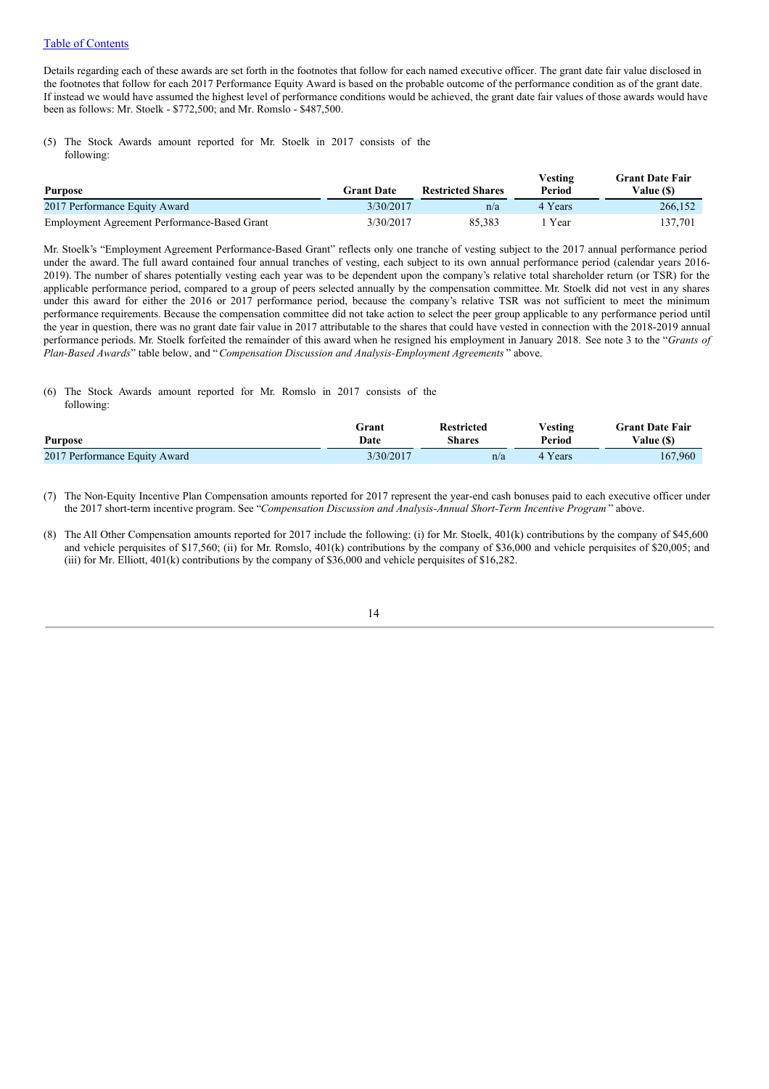Details regarding each of these awards are set forth in the footnotes that follow for each named executive officer. The grant date fair value disclosed in the footnotes that follow for each 2017 Performance Equity Award is based on the probable outcome of the performance condition as of the grant date. If instead we would have assumed the highest level of performance conditions would be achieved, the grant date fair values of those awards would have been as follows: Mr. Stoelk - \$772,500; and Mr. Romslo - \$487,500.

(5) The Stock Awards amount reported for Mr. Stoelk in 2017 consists of the following:

| <b>Purpose</b>                               | <b>Grant Date</b> | <b>Restricted Shares</b> | Vesting<br>Period | <b>Grant Date Fair</b><br>Value (\$) |
|----------------------------------------------|-------------------|--------------------------|-------------------|--------------------------------------|
| 2017 Performance Equity Award                | 3/30/2017         | n/a                      | 4 Years           | 266,152                              |
| Employment Agreement Performance-Based Grant | 3/30/2017         | 85.383                   | Year              | 137,701                              |

Mr. Stoelk's "Employment Agreement Performance-Based Grant" reflects only one tranche of vesting subject to the 2017 annual performance period under the award. The full award contained four annual tranches of vesting, each subject to its own annual performance period (calendar years 2016- 2019). The number of shares potentially vesting each year was to be dependent upon the company's relative total shareholder return (or TSR) for the applicable performance period, compared to a group of peers selected annually by the compensation committee. Mr. Stoelk did not vest in any shares under this award for either the 2016 or 2017 performance period, because the company's relative TSR was not sufficient to meet the minimum performance requirements. Because the compensation committee did not take action to select the peer group applicable to any performance period until the year in question, there was no grant date fair value in 2017 attributable to the shares that could have vested in connection with the 2018-2019 annual performance periods. Mr. Stoelk forfeited the remainder of this award when he resigned his employment in January 2018. See note 3 to the "*Grants of Plan-Based Awards*" table below, and "*Compensation Discussion and Analysis-Employment Agreements* " above.

#### (6) The Stock Awards amount reported for Mr. Romslo in 2017 consists of the following:

| <b>Purpose</b>                | Grant     | <b>Restricted</b> | $V$ esting | <b>Grant Date Fair</b> |
|-------------------------------|-----------|-------------------|------------|------------------------|
|                               | Date      | <b>Shares</b>     | Period     | Value (\$)             |
| 2017 Performance Equity Award | 3/30/2017 | n/a               | 4 Years    | 167,960                |

(7) The Non-Equity Incentive Plan Compensation amounts reported for 2017 represent the year-end cash bonuses paid to each executive officer under the 2017 short-term incentive program. See "*Compensation Discussion and Analysis-Annual Short-Term Incentive Program* " above.

(8) The All Other Compensation amounts reported for 2017 include the following: (i) for Mr. Stoelk, 401(k) contributions by the company of \$45,600 and vehicle perquisites of \$17,560; (ii) for Mr. Romslo, 401(k) contributions by the company of \$36,000 and vehicle perquisites of \$20,005; and (iii) for Mr. Elliott, 401(k) contributions by the company of \$36,000 and vehicle perquisites of \$16,282.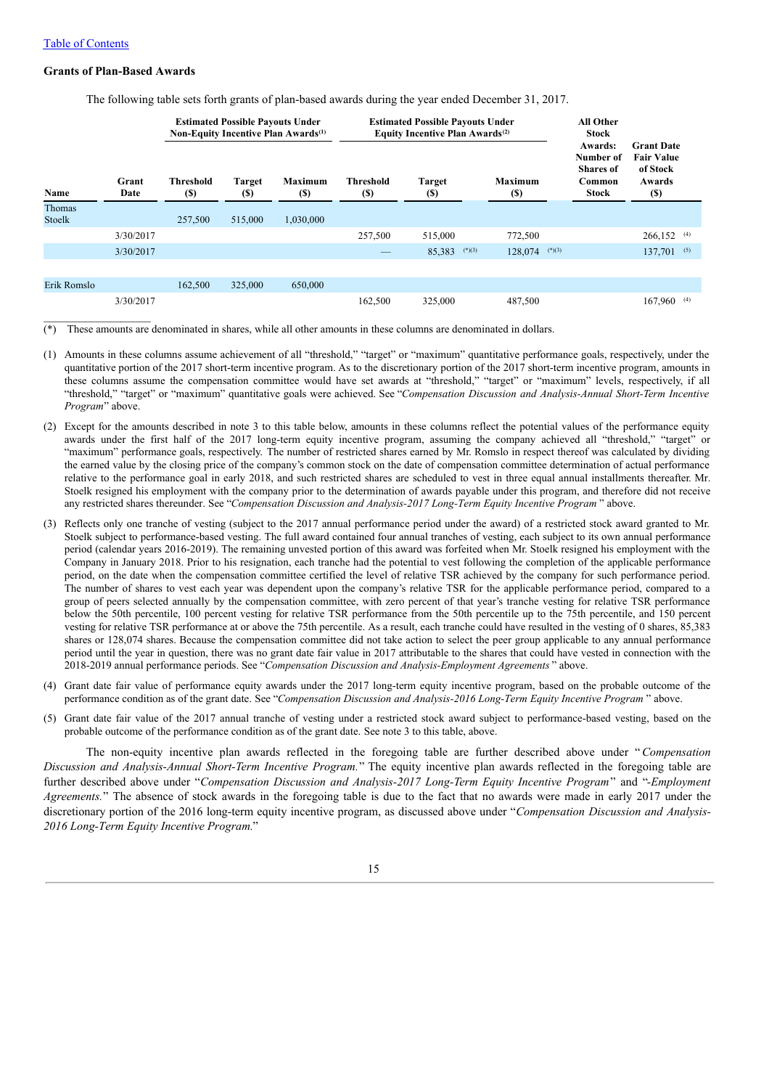### **Grants of Plan-Based Awards**

The following table sets forth grants of plan-based awards during the year ended December 31, 2017.

|                  |               | <b>Estimated Possible Payouts Under</b><br>Non-Equity Incentive Plan Awards <sup>(1)</sup> |                              |                               | <b>Estimated Possible Payouts Under</b><br>Equity Incentive Plan Awards <sup>(2)</sup> |                                             |                               | <b>All Other</b><br><b>Stock</b>                            |                                                                             |
|------------------|---------------|--------------------------------------------------------------------------------------------|------------------------------|-------------------------------|----------------------------------------------------------------------------------------|---------------------------------------------|-------------------------------|-------------------------------------------------------------|-----------------------------------------------------------------------------|
| Name             | Grant<br>Date | <b>Threshold</b><br><b>(\$)</b>                                                            | <b>Target</b><br><b>(\$)</b> | <b>Maximum</b><br><b>(\$)</b> | <b>Threshold</b><br>(S)                                                                | <b>Target</b><br>$\left( \mathbb{S}\right)$ | <b>Maximum</b><br><b>(\$)</b> | Awards:<br>Number of<br>Shares of<br>Common<br><b>Stock</b> | <b>Grant Date</b><br><b>Fair Value</b><br>of Stock<br>Awards<br><b>(\$)</b> |
| Thomas<br>Stoelk |               | 257,500                                                                                    | 515,000                      | 1,030,000                     |                                                                                        |                                             |                               |                                                             |                                                                             |
|                  | 3/30/2017     |                                                                                            |                              |                               | 257,500                                                                                | 515,000                                     | 772,500                       |                                                             | 266,152<br>(4)                                                              |
|                  | 3/30/2017     |                                                                                            |                              |                               |                                                                                        | $(*)$ (3)<br>85,383                         | 128,074                       | $(*)(3)$                                                    | 137,701<br>(5)                                                              |
|                  |               |                                                                                            |                              |                               |                                                                                        |                                             |                               |                                                             |                                                                             |
| Erik Romslo      |               | 162,500                                                                                    | 325,000                      | 650,000                       |                                                                                        |                                             |                               |                                                             |                                                                             |
|                  | 3/30/2017     |                                                                                            |                              |                               | 162.500                                                                                | 325,000                                     | 487,500                       |                                                             | 167,960<br>(4)                                                              |

These amounts are denominated in shares, while all other amounts in these columns are denominated in dollars.

- (1) Amounts in these columns assume achievement of all "threshold," "target" or "maximum" quantitative performance goals, respectively, under the quantitative portion of the 2017 short-term incentive program. As to the discretionary portion of the 2017 short-term incentive program, amounts in these columns assume the compensation committee would have set awards at "threshold," "target" or "maximum" levels, respectively, if all "threshold," "target" or "maximum" quantitative goals were achieved. See "*Compensation Discussion and Analysis-Annual Short-Term Incentive Program*" above.
- (2) Except for the amounts described in note 3 to this table below, amounts in these columns reflect the potential values of the performance equity awards under the first half of the 2017 long-term equity incentive program, assuming the company achieved all "threshold," "target" or "maximum" performance goals, respectively. The number of restricted shares earned by Mr. Romslo in respect thereof was calculated by dividing the earned value by the closing price of the company's common stock on the date of compensation committee determination of actual performance relative to the performance goal in early 2018, and such restricted shares are scheduled to vest in three equal annual installments thereafter. Mr. Stoelk resigned his employment with the company prior to the determination of awards payable under this program, and therefore did not receive any restricted shares thereunder. See "*Compensation Discussion and Analysis-2017 Long-Term Equity Incentive Program* " above.
- (3) Reflects only one tranche of vesting (subject to the 2017 annual performance period under the award) of a restricted stock award granted to Mr. Stoelk subject to performance-based vesting. The full award contained four annual tranches of vesting, each subject to its own annual performance period (calendar years 2016-2019). The remaining unvested portion of this award was forfeited when Mr. Stoelk resigned his employment with the Company in January 2018. Prior to his resignation, each tranche had the potential to vest following the completion of the applicable performance period, on the date when the compensation committee certified the level of relative TSR achieved by the company for such performance period. The number of shares to vest each year was dependent upon the company's relative TSR for the applicable performance period, compared to a group of peers selected annually by the compensation committee, with zero percent of that year's tranche vesting for relative TSR performance below the 50th percentile, 100 percent vesting for relative TSR performance from the 50th percentile up to the 75th percentile, and 150 percent vesting for relative TSR performance at or above the 75th percentile. As a result, each tranche could have resulted in the vesting of 0 shares, 85,383 shares or 128,074 shares. Because the compensation committee did not take action to select the peer group applicable to any annual performance period until the year in question, there was no grant date fair value in 2017 attributable to the shares that could have vested in connection with the 2018-2019 annual performance periods. See "*Compensation Discussion and Analysis-Employment Agreements* " above.
- (4) Grant date fair value of performance equity awards under the 2017 long-term equity incentive program, based on the probable outcome of the performance condition as of the grant date. See "*Compensation Discussion and Analysis-2016 Long-Term Equity Incentive Program* " above.
- (5) Grant date fair value of the 2017 annual tranche of vesting under a restricted stock award subject to performance-based vesting, based on the probable outcome of the performance condition as of the grant date. See note 3 to this table, above.

The non-equity incentive plan awards reflected in the foregoing table are further described above under "*Compensation Discussion and Analysis-Annual Short-Term Incentive Program.*" The equity incentive plan awards reflected in the foregoing table are further described above under "*Compensation Discussion and Analysis-2017 Long-Term Equity Incentive Program*" and "*-Employment Agreements.*" The absence of stock awards in the foregoing table is due to the fact that no awards were made in early 2017 under the discretionary portion of the 2016 long-term equity incentive program, as discussed above under "*Compensation Discussion and Analysis-2016 Long-Term Equity Incentive Program.*"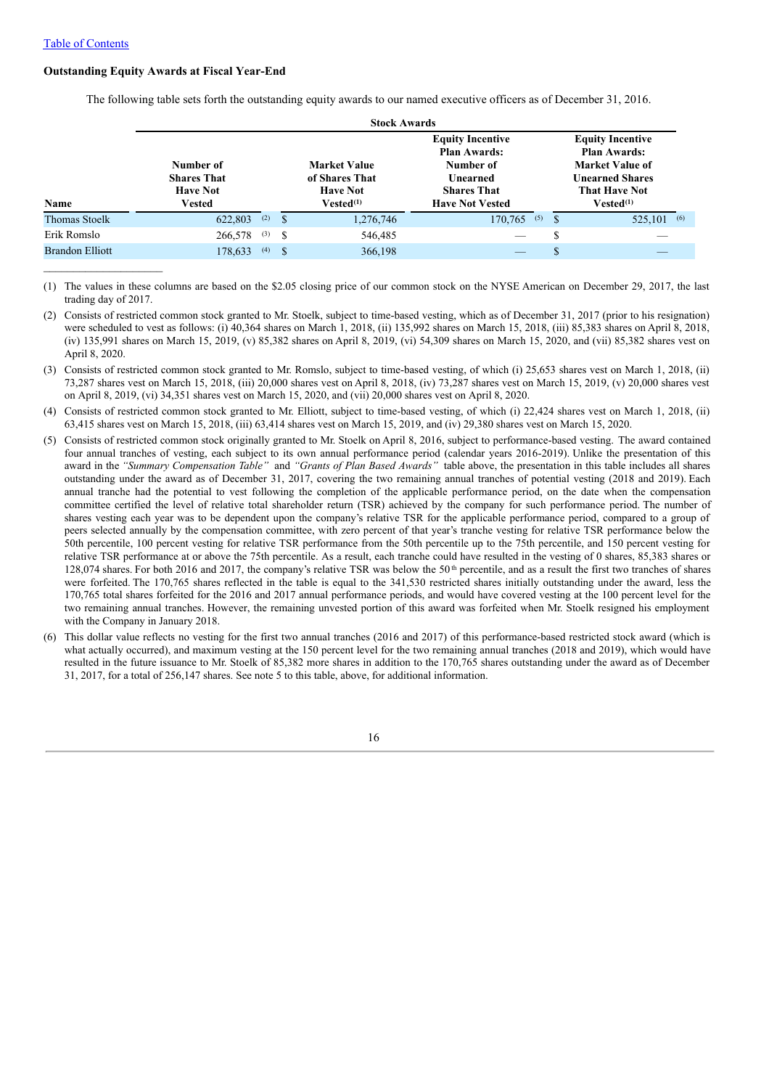$\mathcal{L}_\text{max}$ 

#### **Outstanding Equity Awards at Fiscal Year-End**

The following table sets forth the outstanding equity awards to our named executive officers as of December 31, 2016.

|                      |                                                                     |     |      | <b>Stock Awards</b>                                                        |                                                                                                                         |   |                                                                                                                                              |  |
|----------------------|---------------------------------------------------------------------|-----|------|----------------------------------------------------------------------------|-------------------------------------------------------------------------------------------------------------------------|---|----------------------------------------------------------------------------------------------------------------------------------------------|--|
| Name                 | Number of<br><b>Shares That</b><br><b>Have Not</b><br><b>Vested</b> |     |      | <b>Market Value</b><br>of Shares That<br><b>Have Not</b><br>$Vested^{(1)}$ | <b>Equity Incentive</b><br><b>Plan Awards:</b><br>Number of<br>Unearned<br><b>Shares That</b><br><b>Have Not Vested</b> |   | <b>Equity Incentive</b><br><b>Plan Awards:</b><br>Market Value of<br><b>Unearned Shares</b><br><b>That Have Not</b><br>Vested <sup>(1)</sup> |  |
| <b>Thomas Stoelk</b> | 622,803                                                             | (2) | -\$  | 1,276,746                                                                  | 170,765<br>(5)                                                                                                          |   | $525,101$ (6)                                                                                                                                |  |
| Erik Romslo          | 266,578                                                             | (3) | - \$ | 546,485                                                                    |                                                                                                                         | S |                                                                                                                                              |  |
| Brandon Elliott      | 178,633                                                             | (4) | -S   | 366,198                                                                    | $\overline{\phantom{a}}$                                                                                                | S |                                                                                                                                              |  |

(1) The values in these columns are based on the \$2.05 closing price of our common stock on the NYSE American on December 29, 2017, the last trading day of 2017.

- (3) Consists of restricted common stock granted to Mr. Romslo, subject to time-based vesting, of which (i) 25,653 shares vest on March 1, 2018, (ii) 73,287 shares vest on March 15, 2018, (iii) 20,000 shares vest on April 8, 2018, (iv) 73,287 shares vest on March 15, 2019, (v) 20,000 shares vest on April 8, 2019, (vi) 34,351 shares vest on March 15, 2020, and (vii) 20,000 shares vest on April 8, 2020.
- (4) Consists of restricted common stock granted to Mr. Elliott, subject to time-based vesting, of which (i) 22,424 shares vest on March 1, 2018, (ii) 63,415 shares vest on March 15, 2018, (iii) 63,414 shares vest on March 15, 2019, and (iv) 29,380 shares vest on March 15, 2020.
- (5) Consists of restricted common stock originally granted to Mr. Stoelk on April 8, 2016, subject to performance-based vesting. The award contained four annual tranches of vesting, each subject to its own annual performance period (calendar years 2016-2019). Unlike the presentation of this award in the *"Summary Compensation Table"* and *"Grants of Plan Based Awards"* table above, the presentation in this table includes all shares outstanding under the award as of December 31, 2017, covering the two remaining annual tranches of potential vesting (2018 and 2019). Each annual tranche had the potential to vest following the completion of the applicable performance period, on the date when the compensation committee certified the level of relative total shareholder return (TSR) achieved by the company for such performance period. The number of shares vesting each year was to be dependent upon the company's relative TSR for the applicable performance period, compared to a group of peers selected annually by the compensation committee, with zero percent of that year's tranche vesting for relative TSR performance below the 50th percentile, 100 percent vesting for relative TSR performance from the 50th percentile up to the 75th percentile, and 150 percent vesting for relative TSR performance at or above the 75th percentile. As a result, each tranche could have resulted in the vesting of 0 shares, 85,383 shares or 128,074 shares. For both 2016 and 2017, the company's relative TSR was below the  $50<sup>th</sup>$  percentile, and as a result the first two tranches of shares were forfeited. The 170,765 shares reflected in the table is equal to the 341,530 restricted shares initially outstanding under the award, less the 170,765 total shares forfeited for the 2016 and 2017 annual performance periods, and would have covered vesting at the 100 percent level for the two remaining annual tranches. However, the remaining unvested portion of this award was forfeited when Mr. Stoelk resigned his employment with the Company in January 2018.
- (6) This dollar value reflects no vesting for the first two annual tranches (2016 and 2017) of this performance-based restricted stock award (which is what actually occurred), and maximum vesting at the 150 percent level for the two remaining annual tranches (2018 and 2019), which would have resulted in the future issuance to Mr. Stoelk of 85,382 more shares in addition to the 170,765 shares outstanding under the award as of December 31, 2017, for a total of 256,147 shares. See note 5 to this table, above, for additional information.

<sup>(2)</sup> Consists of restricted common stock granted to Mr. Stoelk, subject to time-based vesting, which as of December 31, 2017 (prior to his resignation) were scheduled to vest as follows: (i) 40,364 shares on March 1, 2018, (ii) 135,992 shares on March 15, 2018, (iii) 85,383 shares on April 8, 2018, (iv) 135,991 shares on March 15, 2019, (v) 85,382 shares on April 8, 2019, (vi) 54,309 shares on March 15, 2020, and (vii) 85,382 shares vest on April 8, 2020.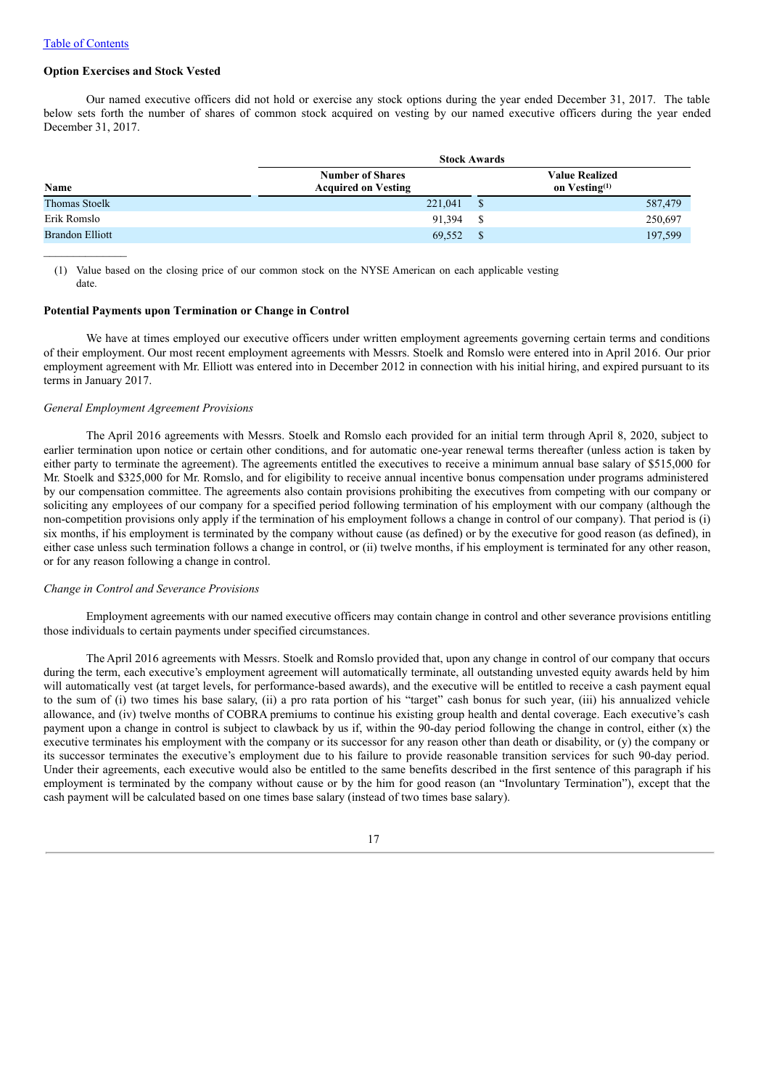#### **Option Exercises and Stock Vested**

Our named executive officers did not hold or exercise any stock options during the year ended December 31, 2017. The table below sets forth the number of shares of common stock acquired on vesting by our named executive officers during the year ended December 31, 2017.

|                        | <b>Stock Awards</b>                                   |    |                                              |         |  |  |
|------------------------|-------------------------------------------------------|----|----------------------------------------------|---------|--|--|
| Name                   | <b>Number of Shares</b><br><b>Acquired on Vesting</b> |    | <b>Value Realized</b><br>on $V$ esting $(1)$ |         |  |  |
| <b>Thomas Stoelk</b>   | 221,041                                               | \$ |                                              | 587,479 |  |  |
| Erik Romslo            | 91.394                                                | S  |                                              | 250,697 |  |  |
| <b>Brandon Elliott</b> | 69,552                                                | \$ |                                              | 197,599 |  |  |

(1) Value based on the closing price of our common stock on the NYSE American on each applicable vesting date.

#### **Potential Payments upon Termination or Change in Control**

We have at times employed our executive officers under written employment agreements governing certain terms and conditions of their employment. Our most recent employment agreements with Messrs. Stoelk and Romslo were entered into in April 2016. Our prior employment agreement with Mr. Elliott was entered into in December 2012 in connection with his initial hiring, and expired pursuant to its terms in January 2017.

#### *General Employment Agreement Provisions*

The April 2016 agreements with Messrs. Stoelk and Romslo each provided for an initial term through April 8, 2020, subject to earlier termination upon notice or certain other conditions, and for automatic one-year renewal terms thereafter (unless action is taken by either party to terminate the agreement). The agreements entitled the executives to receive a minimum annual base salary of \$515,000 for Mr. Stoelk and \$325,000 for Mr. Romslo, and for eligibility to receive annual incentive bonus compensation under programs administered by our compensation committee. The agreements also contain provisions prohibiting the executives from competing with our company or soliciting any employees of our company for a specified period following termination of his employment with our company (although the non-competition provisions only apply if the termination of his employment follows a change in control of our company). That period is (i) six months, if his employment is terminated by the company without cause (as defined) or by the executive for good reason (as defined), in either case unless such termination follows a change in control, or (ii) twelve months, if his employment is terminated for any other reason, or for any reason following a change in control.

### *Change in Control and Severance Provisions*

Employment agreements with our named executive officers may contain change in control and other severance provisions entitling those individuals to certain payments under specified circumstances.

The April 2016 agreements with Messrs. Stoelk and Romslo provided that, upon any change in control of our company that occurs during the term, each executive's employment agreement will automatically terminate, all outstanding unvested equity awards held by him will automatically vest (at target levels, for performance-based awards), and the executive will be entitled to receive a cash payment equal to the sum of (i) two times his base salary, (ii) a pro rata portion of his "target" cash bonus for such year, (iii) his annualized vehicle allowance, and (iv) twelve months of COBRA premiums to continue his existing group health and dental coverage. Each executive's cash payment upon a change in control is subject to clawback by us if, within the 90-day period following the change in control, either (x) the executive terminates his employment with the company or its successor for any reason other than death or disability, or (y) the company or its successor terminates the executive's employment due to his failure to provide reasonable transition services for such 90-day period. Under their agreements, each executive would also be entitled to the same benefits described in the first sentence of this paragraph if his employment is terminated by the company without cause or by the him for good reason (an "Involuntary Termination"), except that the cash payment will be calculated based on one times base salary (instead of two times base salary).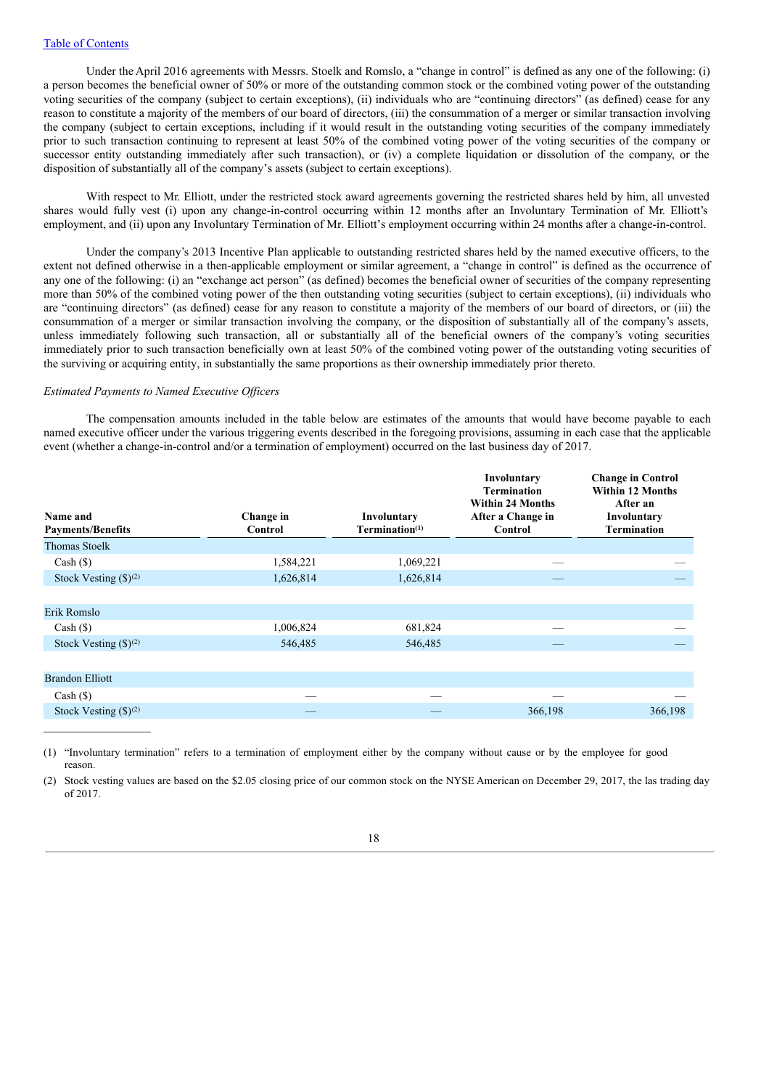Under the April 2016 agreements with Messrs. Stoelk and Romslo, a "change in control" is defined as any one of the following: (i) a person becomes the beneficial owner of 50% or more of the outstanding common stock or the combined voting power of the outstanding voting securities of the company (subject to certain exceptions), (ii) individuals who are "continuing directors" (as defined) cease for any reason to constitute a majority of the members of our board of directors, (iii) the consummation of a merger or similar transaction involving the company (subject to certain exceptions, including if it would result in the outstanding voting securities of the company immediately prior to such transaction continuing to represent at least 50% of the combined voting power of the voting securities of the company or successor entity outstanding immediately after such transaction), or (iv) a complete liquidation or dissolution of the company, or the disposition of substantially all of the company's assets (subject to certain exceptions).

With respect to Mr. Elliott, under the restricted stock award agreements governing the restricted shares held by him, all unvested shares would fully vest (i) upon any change-in-control occurring within 12 months after an Involuntary Termination of Mr. Elliott's employment, and (ii) upon any Involuntary Termination of Mr. Elliott's employment occurring within 24 months after a change-in-control.

Under the company's 2013 Incentive Plan applicable to outstanding restricted shares held by the named executive officers, to the extent not defined otherwise in a then-applicable employment or similar agreement, a "change in control" is defined as the occurrence of any one of the following: (i) an "exchange act person" (as defined) becomes the beneficial owner of securities of the company representing more than 50% of the combined voting power of the then outstanding voting securities (subject to certain exceptions), (ii) individuals who are "continuing directors" (as defined) cease for any reason to constitute a majority of the members of our board of directors, or (iii) the consummation of a merger or similar transaction involving the company, or the disposition of substantially all of the company's assets, unless immediately following such transaction, all or substantially all of the beneficial owners of the company's voting securities immediately prior to such transaction beneficially own at least 50% of the combined voting power of the outstanding voting securities of the surviving or acquiring entity, in substantially the same proportions as their ownership immediately prior thereto.

#### *Estimated Payments to Named Executive Of icers*

The compensation amounts included in the table below are estimates of the amounts that would have become payable to each named executive officer under the various triggering events described in the foregoing provisions, assuming in each case that the applicable event (whether a change-in-control and/or a termination of employment) occurred on the last business day of 2017.

| Name and<br><b>Payments/Benefits</b>          | Change in<br>Control | Involuntary<br>Termination <sup>(1)</sup> | Involuntary<br><b>Termination</b><br><b>Within 24 Months</b><br>After a Change in<br>Control | <b>Change in Control</b><br><b>Within 12 Months</b><br>After an<br>Involuntary<br><b>Termination</b> |
|-----------------------------------------------|----------------------|-------------------------------------------|----------------------------------------------------------------------------------------------|------------------------------------------------------------------------------------------------------|
| <b>Thomas Stoelk</b>                          |                      |                                           |                                                                                              |                                                                                                      |
| $Cash (\$)$                                   | 1,584,221            | 1,069,221                                 |                                                                                              |                                                                                                      |
| Stock Vesting $(\text{$\mathfrak{H}$})^{(2)}$ | 1,626,814            | 1,626,814                                 |                                                                                              |                                                                                                      |
|                                               |                      |                                           |                                                                                              |                                                                                                      |
| Erik Romslo                                   |                      |                                           |                                                                                              |                                                                                                      |
| $Cash (\$)$                                   | 1,006,824            | 681,824                                   |                                                                                              |                                                                                                      |
| Stock Vesting $(\text{$\mathfrak{H}$})^{(2)}$ | 546,485              | 546,485                                   |                                                                                              |                                                                                                      |
|                                               |                      |                                           |                                                                                              |                                                                                                      |
| <b>Brandon Elliott</b>                        |                      |                                           |                                                                                              |                                                                                                      |
| $Cash (\$)$                                   |                      |                                           |                                                                                              |                                                                                                      |
| Stock Vesting $(\text{$\mathfrak{H}$})^{(2)}$ |                      |                                           | 366,198                                                                                      | 366,198                                                                                              |

<sup>(1)</sup> "Involuntary termination" refers to a termination of employment either by the company without cause or by the employee for good reason.

<sup>(2)</sup> Stock vesting values are based on the \$2.05 closing price of our common stock on the NYSE American on December 29, 2017, the las trading day of 2017.

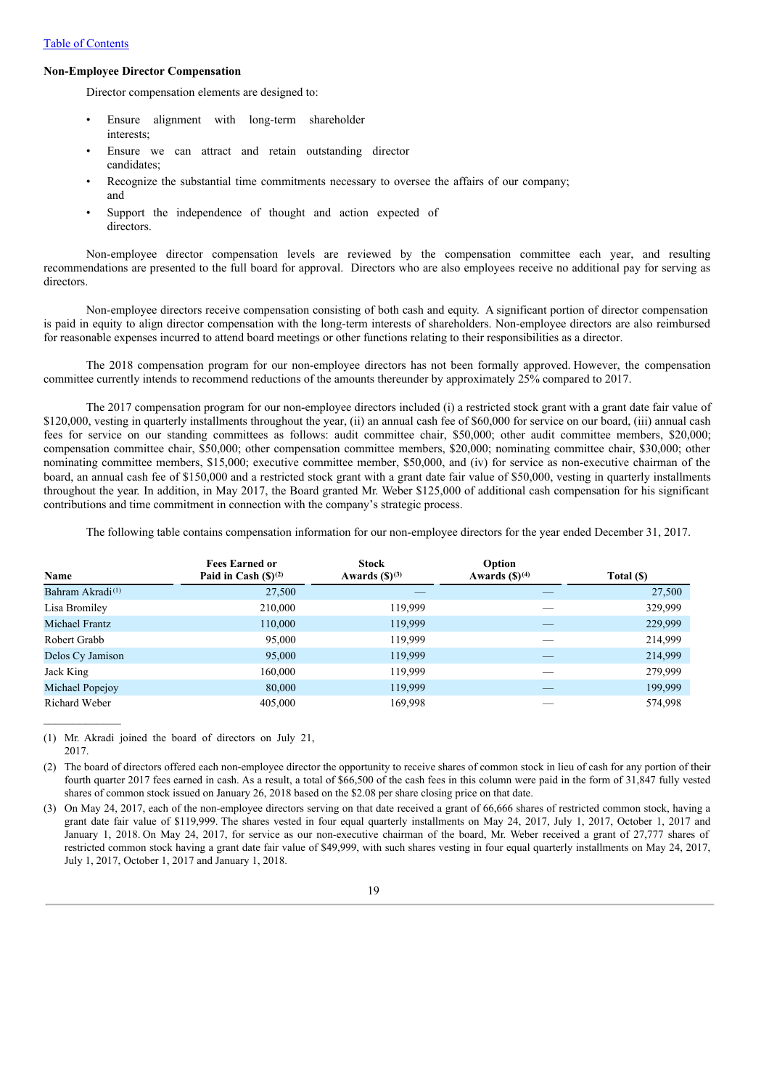### Table of Contents

#### **Non-Employee Director Compensation**

Director compensation elements are designed to:

- Ensure alignment with long-term shareholder interests;
- Ensure we can attract and retain outstanding director candidates;
- Recognize the substantial time commitments necessary to oversee the affairs of our company; and
- Support the independence of thought and action expected of directors.

Non-employee director compensation levels are reviewed by the compensation committee each year, and resulting recommendations are presented to the full board for approval. Directors who are also employees receive no additional pay for serving as directors.

Non-employee directors receive compensation consisting of both cash and equity. A significant portion of director compensation is paid in equity to align director compensation with the long-term interests of shareholders. Non-employee directors are also reimbursed for reasonable expenses incurred to attend board meetings or other functions relating to their responsibilities as a director.

The 2018 compensation program for our non-employee directors has not been formally approved. However, the compensation committee currently intends to recommend reductions of the amounts thereunder by approximately 25% compared to 2017.

The 2017 compensation program for our non-employee directors included (i) a restricted stock grant with a grant date fair value of \$120,000, vesting in quarterly installments throughout the year, (ii) an annual cash fee of \$60,000 for service on our board, (iii) annual cash fees for service on our standing committees as follows: audit committee chair, \$50,000; other audit committee members, \$20,000; compensation committee chair, \$50,000; other compensation committee members, \$20,000; nominating committee chair, \$30,000; other nominating committee members, \$15,000; executive committee member, \$50,000, and (iv) for service as non-executive chairman of the board, an annual cash fee of \$150,000 and a restricted stock grant with a grant date fair value of \$50,000, vesting in quarterly installments throughout the year. In addition, in May 2017, the Board granted Mr. Weber \$125,000 of additional cash compensation for his significant contributions and time commitment in connection with the company's strategic process.

The following table contains compensation information for our non-employee directors for the year ended December 31, 2017.

| Name                         | <b>Fees Earned or</b><br>Paid in Cash $(S)^{(2)}$ | <b>Stock</b><br>Awards $(S)^{(3)}$ | Option<br>Awards $(S)^{(4)}$ | Total (\$) |
|------------------------------|---------------------------------------------------|------------------------------------|------------------------------|------------|
| Bahram Akradi <sup>(1)</sup> | 27,500                                            |                                    |                              | 27,500     |
| Lisa Bromiley                | 210,000                                           | 119,999                            |                              | 329,999    |
| <b>Michael Frantz</b>        | 110,000                                           | 119,999                            |                              | 229,999    |
| Robert Grabb                 | 95,000                                            | 119,999                            |                              | 214,999    |
| Delos Cy Jamison             | 95,000                                            | 119,999                            |                              | 214,999    |
| Jack King                    | 160,000                                           | 119,999                            |                              | 279,999    |
| Michael Popejoy              | 80,000                                            | 119,999                            |                              | 199,999    |
| Richard Weber                | 405,000                                           | 169,998                            |                              | 574.998    |

(1) Mr. Akradi joined the board of directors on July 21, 2017.

(2) The board of directors offered each non-employee director the opportunity to receive shares of common stock in lieu of cash for any portion of their fourth quarter 2017 fees earned in cash. As a result, a total of \$66,500 of the cash fees in this column were paid in the form of 31,847 fully vested shares of common stock issued on January 26, 2018 based on the \$2.08 per share closing price on that date.

(3) On May 24, 2017, each of the non-employee directors serving on that date received a grant of 66,666 shares of restricted common stock, having a grant date fair value of \$119,999. The shares vested in four equal quarterly installments on May 24, 2017, July 1, 2017, October 1, 2017 and January 1, 2018. On May 24, 2017, for service as our non-executive chairman of the board, Mr. Weber received a grant of 27,777 shares of restricted common stock having a grant date fair value of \$49,999, with such shares vesting in four equal quarterly installments on May 24, 2017, July 1, 2017, October 1, 2017 and January 1, 2018.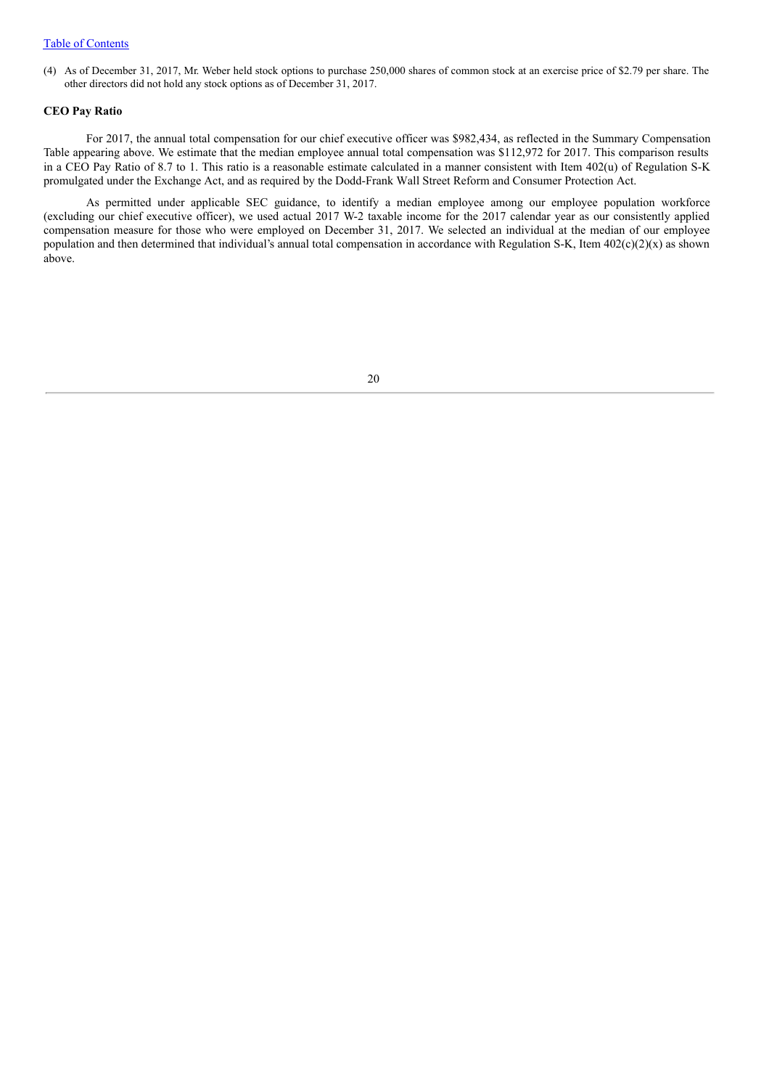### Table of Contents

(4) As of December 31, 2017, Mr. Weber held stock options to purchase 250,000 shares of common stock at an exercise price of \$2.79 per share. The other directors did not hold any stock options as of December 31, 2017.

### **CEO Pay Ratio**

For 2017, the annual total compensation for our chief executive officer was \$982,434, as reflected in the Summary Compensation Table appearing above. We estimate that the median employee annual total compensation was \$112,972 for 2017. This comparison results in a CEO Pay Ratio of 8.7 to 1. This ratio is a reasonable estimate calculated in a manner consistent with Item 402(u) of Regulation S-K promulgated under the Exchange Act, and as required by the Dodd-Frank Wall Street Reform and Consumer Protection Act.

As permitted under applicable SEC guidance, to identify a median employee among our employee population workforce (excluding our chief executive officer), we used actual 2017 W-2 taxable income for the 2017 calendar year as our consistently applied compensation measure for those who were employed on December 31, 2017. We selected an individual at the median of our employee population and then determined that individual's annual total compensation in accordance with Regulation S-K, Item 402(c)(2)(x) as shown above.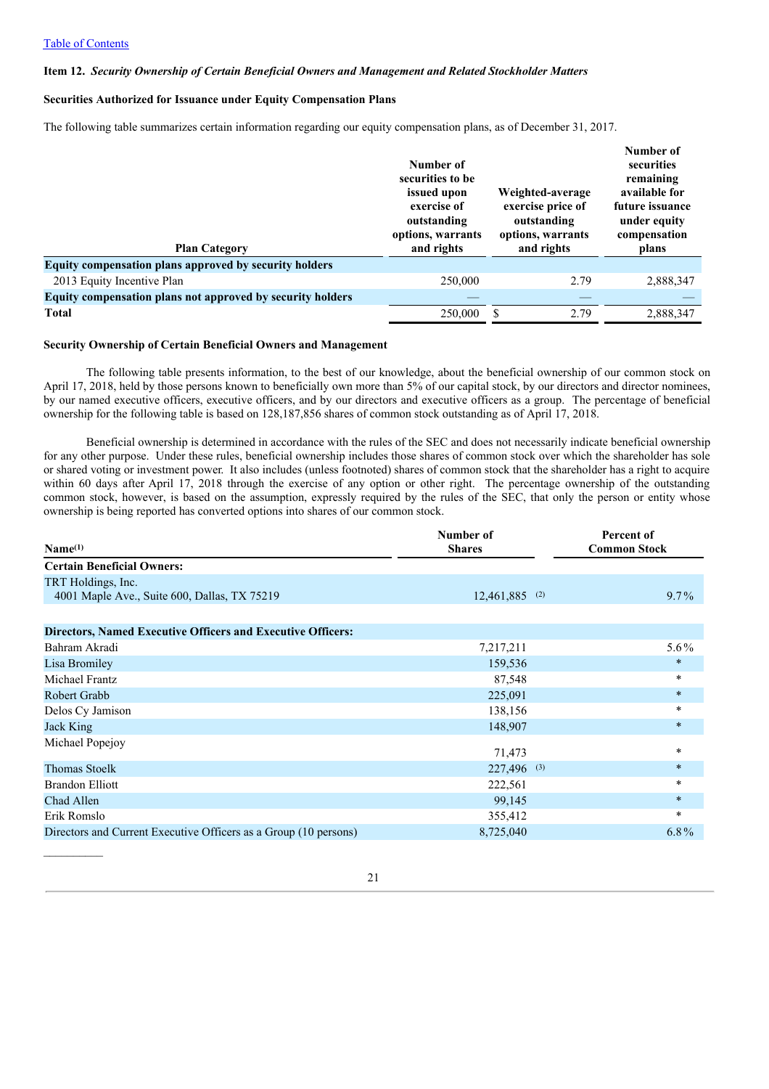#### **Item 12.** *Security Ownership of Certain Beneficial Owners and Management and Related Stockholder Matters*

### **Securities Authorized for Issuance under Equity Compensation Plans**

The following table summarizes certain information regarding our equity compensation plans, as of December 31, 2017.

| <b>Plan Category</b>                                       | Number of<br>securities to be<br>issued upon<br>exercise of<br>outstanding<br>options, warrants<br>and rights | Weighted-average<br>exercise price of<br>outstanding<br>options, warrants<br>and rights | Number of<br>securities<br>remaining<br>available for<br>future issuance<br>under equity<br>compensation<br>plans |
|------------------------------------------------------------|---------------------------------------------------------------------------------------------------------------|-----------------------------------------------------------------------------------------|-------------------------------------------------------------------------------------------------------------------|
| Equity compensation plans approved by security holders     |                                                                                                               |                                                                                         |                                                                                                                   |
| 2013 Equity Incentive Plan                                 | 250,000                                                                                                       | 2.79                                                                                    | 2,888,347                                                                                                         |
| Equity compensation plans not approved by security holders |                                                                                                               |                                                                                         |                                                                                                                   |
| <b>Total</b>                                               | 250,000                                                                                                       | 2.79                                                                                    | 2,888,347                                                                                                         |

#### **Security Ownership of Certain Beneficial Owners and Management**

The following table presents information, to the best of our knowledge, about the beneficial ownership of our common stock on April 17, 2018, held by those persons known to beneficially own more than 5% of our capital stock, by our directors and director nominees, by our named executive officers, executive officers, and by our directors and executive officers as a group. The percentage of beneficial ownership for the following table is based on 128,187,856 shares of common stock outstanding as of April 17, 2018.

Beneficial ownership is determined in accordance with the rules of the SEC and does not necessarily indicate beneficial ownership for any other purpose. Under these rules, beneficial ownership includes those shares of common stock over which the shareholder has sole or shared voting or investment power. It also includes (unless footnoted) shares of common stock that the shareholder has a right to acquire within 60 days after April 17, 2018 through the exercise of any option or other right. The percentage ownership of the outstanding common stock, however, is based on the assumption, expressly required by the rules of the SEC, that only the person or entity whose ownership is being reported has converted options into shares of our common stock.

| Name <sup>(1)</sup>                                                | Number of<br><b>Shares</b> | Percent of<br><b>Common Stock</b> |
|--------------------------------------------------------------------|----------------------------|-----------------------------------|
| <b>Certain Beneficial Owners:</b>                                  |                            |                                   |
| TRT Holdings, Inc.                                                 |                            |                                   |
| 4001 Maple Ave., Suite 600, Dallas, TX 75219                       | 12,461,885 (2)             | $9.7\%$                           |
|                                                                    |                            |                                   |
| <b>Directors, Named Executive Officers and Executive Officers:</b> |                            |                                   |
| Bahram Akradi                                                      | 7,217,211                  | $5.6\%$                           |
| Lisa Bromiley                                                      | 159,536                    | $\ast$                            |
| Michael Frantz                                                     | 87,548                     | $\ast$                            |
| <b>Robert Grabb</b>                                                | 225,091                    | $\star$                           |
| Delos Cy Jamison                                                   | 138,156                    | $\ast$                            |
| Jack King                                                          | 148,907                    | $\star$                           |
| Michael Popejoy                                                    | 71,473                     | $\ast$                            |
| <b>Thomas Stoelk</b>                                               | 227,496<br>(3)             | $\ast$                            |
| <b>Brandon Elliott</b>                                             | 222,561                    | $\ast$                            |
| Chad Allen                                                         | 99,145                     | $\ast$                            |
| Erik Romslo                                                        | 355,412                    | $\ast$                            |
| Directors and Current Executive Officers as a Group (10 persons)   | 8,725,040                  | $6.8\%$                           |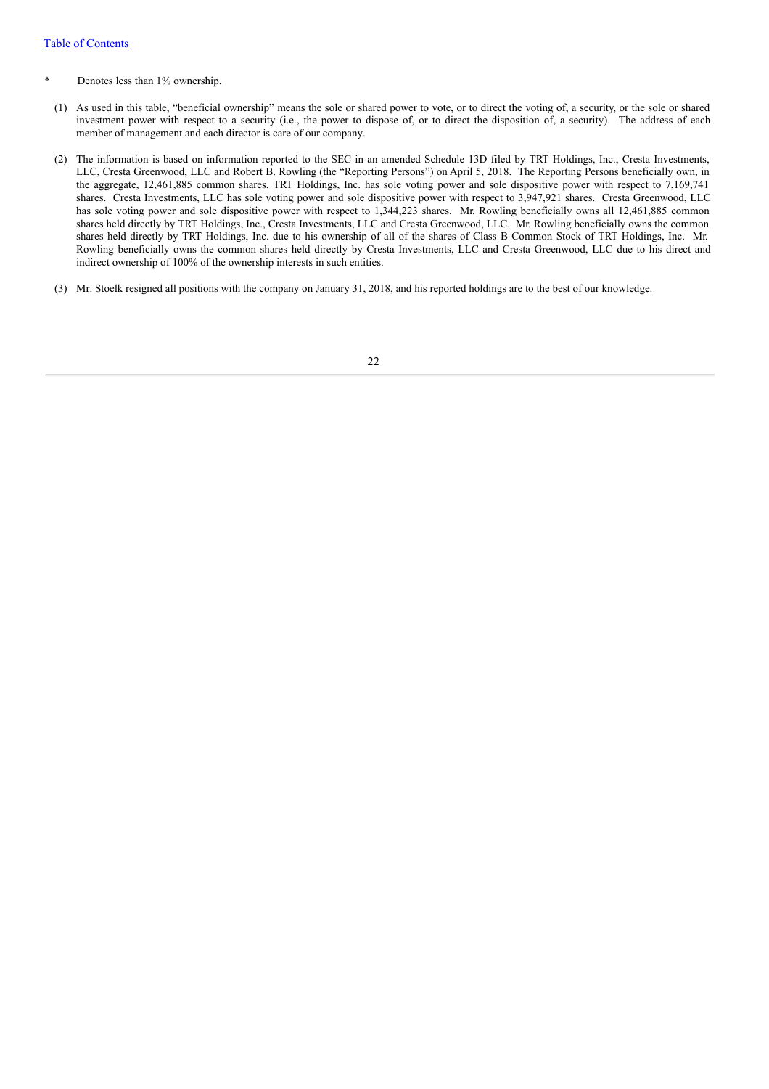- Denotes less than 1% ownership.
- (1) As used in this table, "beneficial ownership" means the sole or shared power to vote, or to direct the voting of, a security, or the sole or shared investment power with respect to a security (i.e., the power to dispose of, or to direct the disposition of, a security). The address of each member of management and each director is care of our company.
- (2) The information is based on information reported to the SEC in an amended Schedule 13D filed by TRT Holdings, Inc., Cresta Investments, LLC, Cresta Greenwood, LLC and Robert B. Rowling (the "Reporting Persons") on April 5, 2018. The Reporting Persons beneficially own, in the aggregate, 12,461,885 common shares. TRT Holdings, Inc. has sole voting power and sole dispositive power with respect to 7,169,741 shares. Cresta Investments, LLC has sole voting power and sole dispositive power with respect to 3,947,921 shares. Cresta Greenwood, LLC has sole voting power and sole dispositive power with respect to 1,344,223 shares. Mr. Rowling beneficially owns all 12,461,885 common shares held directly by TRT Holdings, Inc., Cresta Investments, LLC and Cresta Greenwood, LLC. Mr. Rowling beneficially owns the common shares held directly by TRT Holdings, Inc. due to his ownership of all of the shares of Class B Common Stock of TRT Holdings, Inc. Mr. Rowling beneficially owns the common shares held directly by Cresta Investments, LLC and Cresta Greenwood, LLC due to his direct and indirect ownership of 100% of the ownership interests in such entities.
- (3) Mr. Stoelk resigned all positions with the company on January 31, 2018, and his reported holdings are to the best of our knowledge.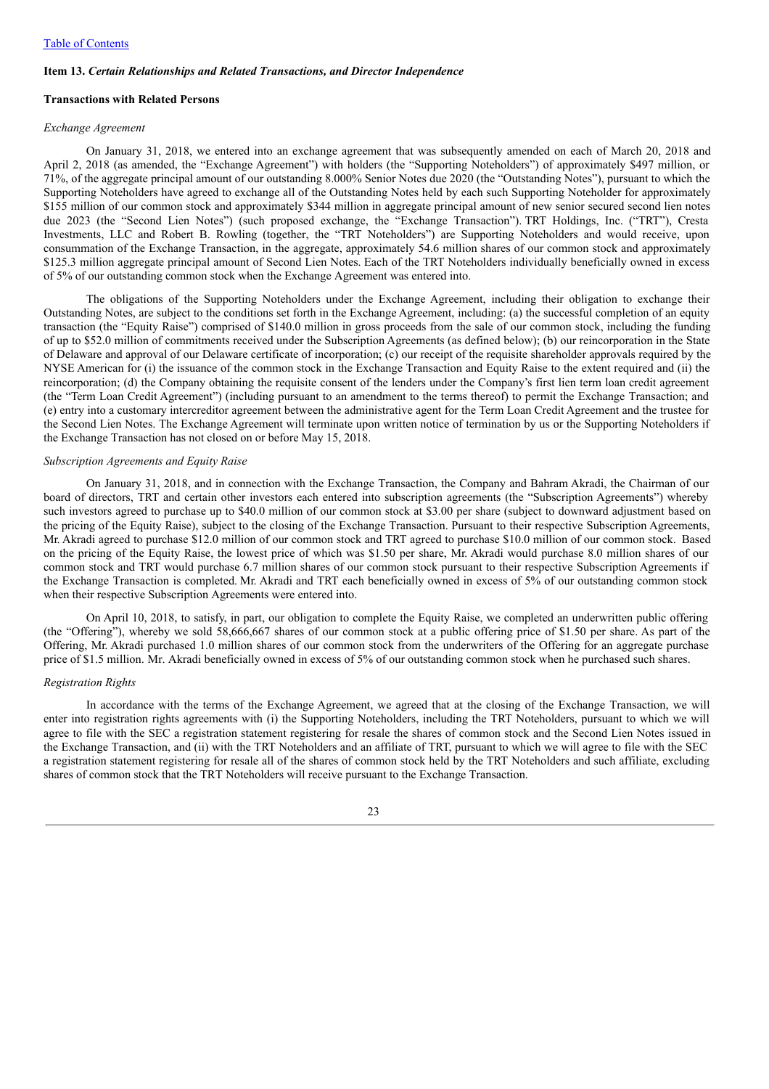#### **Item 13.** *Certain Relationships and Related Transactions, and Director Independence*

### **Transactions with Related Persons**

#### *Exchange Agreement*

On January 31, 2018, we entered into an exchange agreement that was subsequently amended on each of March 20, 2018 and April 2, 2018 (as amended, the "Exchange Agreement") with holders (the "Supporting Noteholders") of approximately \$497 million, or 71%, of the aggregate principal amount of our outstanding 8.000% Senior Notes due 2020 (the "Outstanding Notes"), pursuant to which the Supporting Noteholders have agreed to exchange all of the Outstanding Notes held by each such Supporting Noteholder for approximately \$155 million of our common stock and approximately \$344 million in aggregate principal amount of new senior secured second lien notes due 2023 (the "Second Lien Notes") (such proposed exchange, the "Exchange Transaction"). TRT Holdings, Inc. ("TRT"), Cresta Investments, LLC and Robert B. Rowling (together, the "TRT Noteholders") are Supporting Noteholders and would receive, upon consummation of the Exchange Transaction, in the aggregate, approximately 54.6 million shares of our common stock and approximately \$125.3 million aggregate principal amount of Second Lien Notes. Each of the TRT Noteholders individually beneficially owned in excess of 5% of our outstanding common stock when the Exchange Agreement was entered into.

The obligations of the Supporting Noteholders under the Exchange Agreement, including their obligation to exchange their Outstanding Notes, are subject to the conditions set forth in the Exchange Agreement, including: (a) the successful completion of an equity transaction (the "Equity Raise") comprised of \$140.0 million in gross proceeds from the sale of our common stock, including the funding of up to \$52.0 million of commitments received under the Subscription Agreements (as defined below); (b) our reincorporation in the State of Delaware and approval of our Delaware certificate of incorporation; (c) our receipt of the requisite shareholder approvals required by the NYSE American for (i) the issuance of the common stock in the Exchange Transaction and Equity Raise to the extent required and (ii) the reincorporation; (d) the Company obtaining the requisite consent of the lenders under the Company's first lien term loan credit agreement (the "Term Loan Credit Agreement") (including pursuant to an amendment to the terms thereof) to permit the Exchange Transaction; and (e) entry into a customary intercreditor agreement between the administrative agent for the Term Loan Credit Agreement and the trustee for the Second Lien Notes. The Exchange Agreement will terminate upon written notice of termination by us or the Supporting Noteholders if the Exchange Transaction has not closed on or before May 15, 2018.

#### *Subscription Agreements and Equity Raise*

On January 31, 2018, and in connection with the Exchange Transaction, the Company and Bahram Akradi, the Chairman of our board of directors, TRT and certain other investors each entered into subscription agreements (the "Subscription Agreements") whereby such investors agreed to purchase up to \$40.0 million of our common stock at \$3.00 per share (subject to downward adjustment based on the pricing of the Equity Raise), subject to the closing of the Exchange Transaction. Pursuant to their respective Subscription Agreements, Mr. Akradi agreed to purchase \$12.0 million of our common stock and TRT agreed to purchase \$10.0 million of our common stock. Based on the pricing of the Equity Raise, the lowest price of which was \$1.50 per share, Mr. Akradi would purchase 8.0 million shares of our common stock and TRT would purchase 6.7 million shares of our common stock pursuant to their respective Subscription Agreements if the Exchange Transaction is completed. Mr. Akradi and TRT each beneficially owned in excess of 5% of our outstanding common stock when their respective Subscription Agreements were entered into.

On April 10, 2018, to satisfy, in part, our obligation to complete the Equity Raise, we completed an underwritten public offering (the "Offering"), whereby we sold 58,666,667 shares of our common stock at a public offering price of \$1.50 per share. As part of the Offering, Mr. Akradi purchased 1.0 million shares of our common stock from the underwriters of the Offering for an aggregate purchase price of \$1.5 million. Mr. Akradi beneficially owned in excess of 5% of our outstanding common stock when he purchased such shares.

#### *Registration Rights*

In accordance with the terms of the Exchange Agreement, we agreed that at the closing of the Exchange Transaction, we will enter into registration rights agreements with (i) the Supporting Noteholders, including the TRT Noteholders, pursuant to which we will agree to file with the SEC a registration statement registering for resale the shares of common stock and the Second Lien Notes issued in the Exchange Transaction, and (ii) with the TRT Noteholders and an affiliate of TRT, pursuant to which we will agree to file with the SEC a registration statement registering for resale all of the shares of common stock held by the TRT Noteholders and such affiliate, excluding shares of common stock that the TRT Noteholders will receive pursuant to the Exchange Transaction.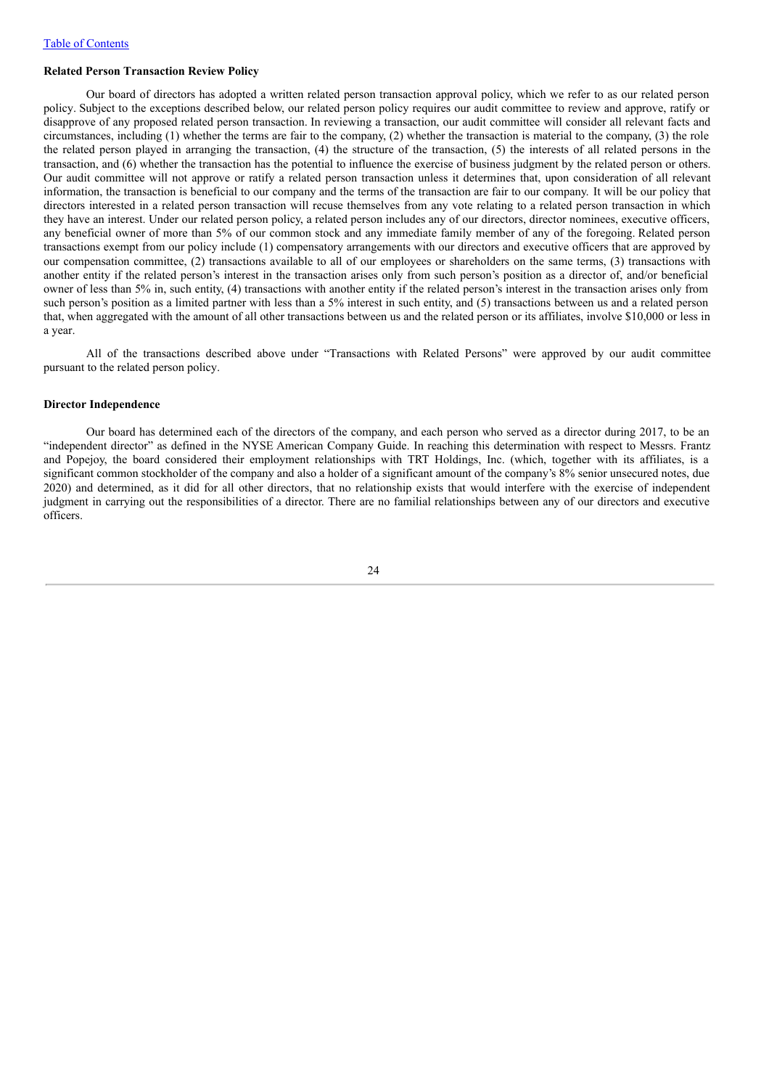#### **Related Person Transaction Review Policy**

Our board of directors has adopted a written related person transaction approval policy, which we refer to as our related person policy. Subject to the exceptions described below, our related person policy requires our audit committee to review and approve, ratify or disapprove of any proposed related person transaction. In reviewing a transaction, our audit committee will consider all relevant facts and circumstances, including (1) whether the terms are fair to the company, (2) whether the transaction is material to the company, (3) the role the related person played in arranging the transaction, (4) the structure of the transaction, (5) the interests of all related persons in the transaction, and (6) whether the transaction has the potential to influence the exercise of business judgment by the related person or others. Our audit committee will not approve or ratify a related person transaction unless it determines that, upon consideration of all relevant information, the transaction is beneficial to our company and the terms of the transaction are fair to our company. It will be our policy that directors interested in a related person transaction will recuse themselves from any vote relating to a related person transaction in which they have an interest. Under our related person policy, a related person includes any of our directors, director nominees, executive officers, any beneficial owner of more than 5% of our common stock and any immediate family member of any of the foregoing. Related person transactions exempt from our policy include (1) compensatory arrangements with our directors and executive officers that are approved by our compensation committee, (2) transactions available to all of our employees or shareholders on the same terms, (3) transactions with another entity if the related person's interest in the transaction arises only from such person's position as a director of, and/or beneficial owner of less than 5% in, such entity, (4) transactions with another entity if the related person's interest in the transaction arises only from such person's position as a limited partner with less than a 5% interest in such entity, and (5) transactions between us and a related person that, when aggregated with the amount of all other transactions between us and the related person or its affiliates, involve \$10,000 or less in a year.

All of the transactions described above under "Transactions with Related Persons" were approved by our audit committee pursuant to the related person policy.

### **Director Independence**

Our board has determined each of the directors of the company, and each person who served as a director during 2017, to be an "independent director" as defined in the NYSE American Company Guide. In reaching this determination with respect to Messrs. Frantz and Popejoy, the board considered their employment relationships with TRT Holdings, Inc. (which, together with its affiliates, is a significant common stockholder of the company and also a holder of a significant amount of the company's 8% senior unsecured notes, due 2020) and determined, as it did for all other directors, that no relationship exists that would interfere with the exercise of independent judgment in carrying out the responsibilities of a director. There are no familial relationships between any of our directors and executive officers.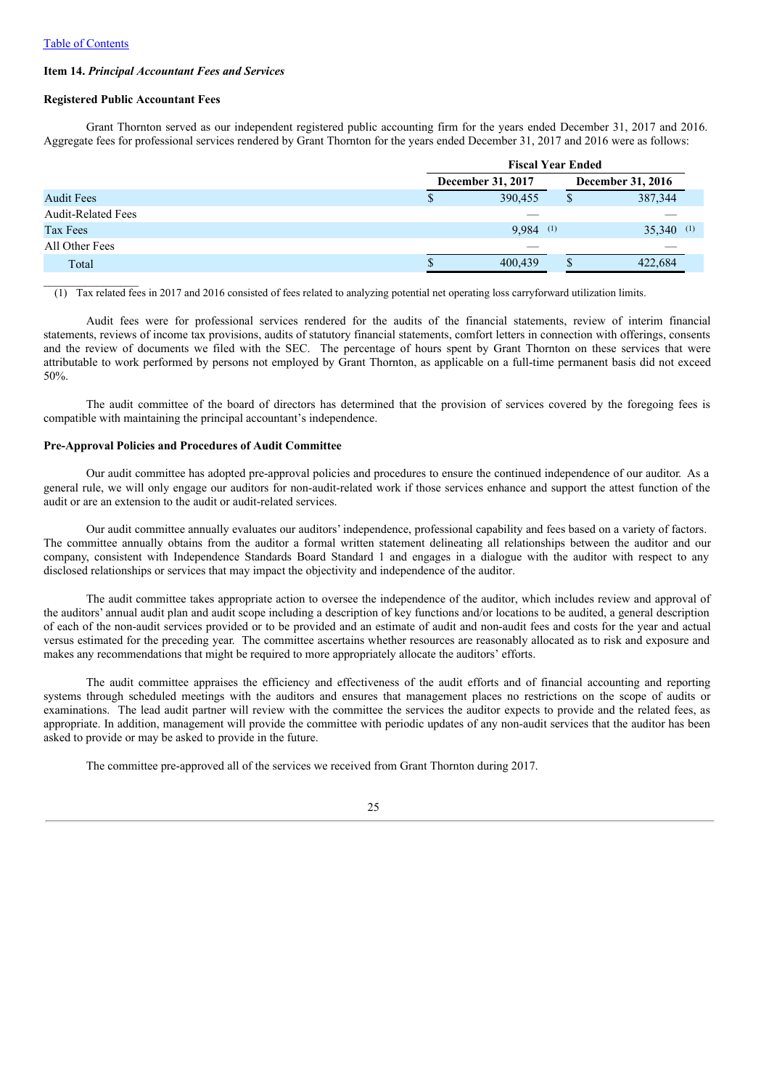#### **Item 14.** *Principal Accountant Fees and Services*

### **Registered Public Accountant Fees**

Grant Thornton served as our independent registered public accounting firm for the years ended December 31, 2017 and 2016. Aggregate fees for professional services rendered by Grant Thornton for the years ended December 31, 2017 and 2016 were as follows:

|                           | <b>Fiscal Year Ended</b> |    |                   |
|---------------------------|--------------------------|----|-------------------|
|                           | December 31, 2017        |    | December 31, 2016 |
| <b>Audit Fees</b>         | 390,455                  | S  | 387,344           |
| <b>Audit-Related Fees</b> |                          |    |                   |
| Tax Fees                  | $9,984$ (1)              |    | 35,340<br>(1)     |
| All Other Fees            |                          |    |                   |
| Total                     | 400,439                  | ۰D | 422,684           |

(1) Tax related fees in 2017 and 2016 consisted of fees related to analyzing potential net operating loss carryforward utilization limits.

Audit fees were for professional services rendered for the audits of the financial statements, review of interim financial statements, reviews of income tax provisions, audits of statutory financial statements, comfort letters in connection with offerings, consents and the review of documents we filed with the SEC. The percentage of hours spent by Grant Thornton on these services that were attributable to work performed by persons not employed by Grant Thornton, as applicable on a full-time permanent basis did not exceed 50%.

The audit committee of the board of directors has determined that the provision of services covered by the foregoing fees is compatible with maintaining the principal accountant's independence.

#### **Pre-Approval Policies and Procedures of Audit Committee**

Our audit committee has adopted pre-approval policies and procedures to ensure the continued independence of our auditor. As a general rule, we will only engage our auditors for non-audit-related work if those services enhance and support the attest function of the audit or are an extension to the audit or audit-related services.

Our audit committee annually evaluates our auditors' independence, professional capability and fees based on a variety of factors. The committee annually obtains from the auditor a formal written statement delineating all relationships between the auditor and our company, consistent with Independence Standards Board Standard 1 and engages in a dialogue with the auditor with respect to any disclosed relationships or services that may impact the objectivity and independence of the auditor.

The audit committee takes appropriate action to oversee the independence of the auditor, which includes review and approval of the auditors' annual audit plan and audit scope including a description of key functions and/or locations to be audited, a general description of each of the non-audit services provided or to be provided and an estimate of audit and non-audit fees and costs for the year and actual versus estimated for the preceding year. The committee ascertains whether resources are reasonably allocated as to risk and exposure and makes any recommendations that might be required to more appropriately allocate the auditors' efforts.

The audit committee appraises the efficiency and effectiveness of the audit efforts and of financial accounting and reporting systems through scheduled meetings with the auditors and ensures that management places no restrictions on the scope of audits or examinations. The lead audit partner will review with the committee the services the auditor expects to provide and the related fees, as appropriate. In addition, management will provide the committee with periodic updates of any non-audit services that the auditor has been asked to provide or may be asked to provide in the future.

The committee pre-approved all of the services we received from Grant Thornton during 2017.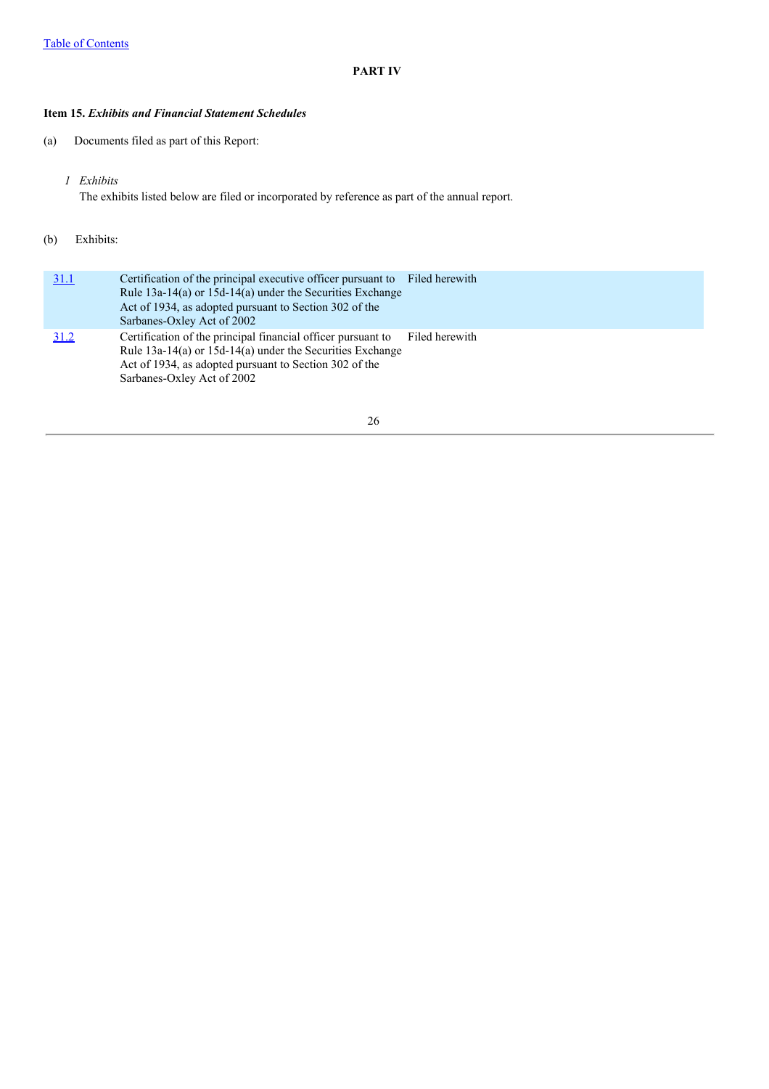# **PART IV**

## **Item 15.** *Exhibits and Financial Statement Schedules*

- (a) Documents filed as part of this Report:
	- *1 Exhibits* The exhibits listed below are filed or incorporated by reference as part of the annual report.

### (b) Exhibits:

| 31.1 | Certification of the principal executive officer pursuant to Filed herewith<br>Rule $13a-14(a)$ or $15d-14(a)$ under the Securities Exchange<br>Act of 1934, as adopted pursuant to Section 302 of the<br>Sarbanes-Oxley Act of 2002 |                |
|------|--------------------------------------------------------------------------------------------------------------------------------------------------------------------------------------------------------------------------------------|----------------|
| 31.2 | Certification of the principal financial officer pursuant to<br>Rule $13a-14(a)$ or $15d-14(a)$ under the Securities Exchange<br>Act of 1934, as adopted pursuant to Section 302 of the<br>Sarbanes-Oxley Act of 2002                | Filed herewith |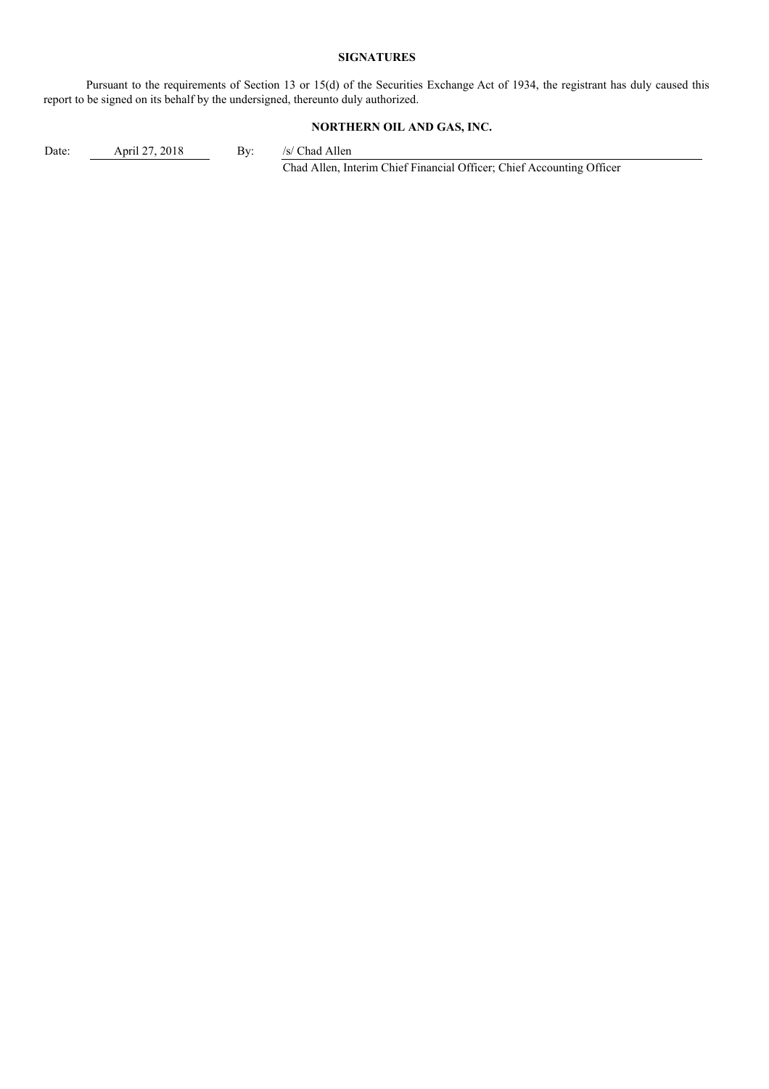### **SIGNATURES**

Pursuant to the requirements of Section 13 or 15(d) of the Securities Exchange Act of 1934, the registrant has duly caused this report to be signed on its behalf by the undersigned, thereunto duly authorized.

# **NORTHERN OIL AND GAS, INC.**

Date: April 27, 2018 By: /s/ Chad Allen

Chad Allen, Interim Chief Financial Officer; Chief Accounting Officer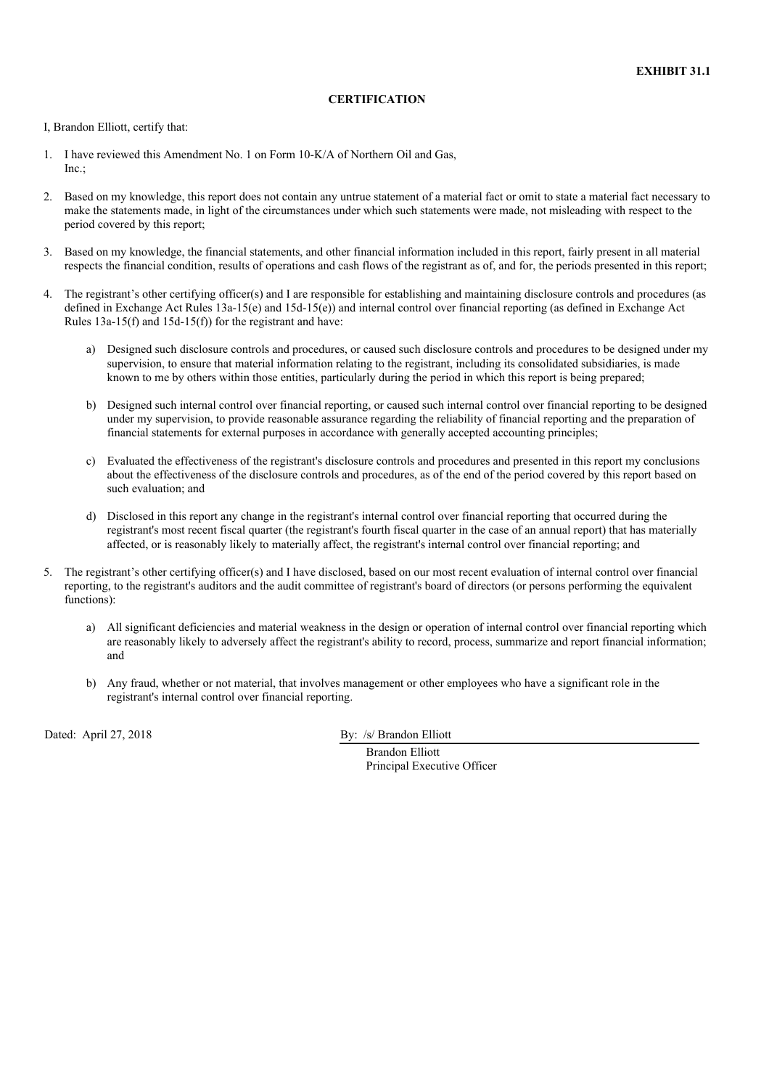### **CERTIFICATION**

I, Brandon Elliott, certify that:

- 1. I have reviewed this Amendment No. 1 on Form 10-K/A of Northern Oil and Gas,  $Inc$
- 2. Based on my knowledge, this report does not contain any untrue statement of a material fact or omit to state a material fact necessary to make the statements made, in light of the circumstances under which such statements were made, not misleading with respect to the period covered by this report;
- 3. Based on my knowledge, the financial statements, and other financial information included in this report, fairly present in all material respects the financial condition, results of operations and cash flows of the registrant as of, and for, the periods presented in this report;
- 4. The registrant's other certifying officer(s) and I are responsible for establishing and maintaining disclosure controls and procedures (as defined in Exchange Act Rules 13a-15(e) and 15d-15(e)) and internal control over financial reporting (as defined in Exchange Act Rules 13a-15(f) and 15d-15(f)) for the registrant and have:
	- a) Designed such disclosure controls and procedures, or caused such disclosure controls and procedures to be designed under my supervision, to ensure that material information relating to the registrant, including its consolidated subsidiaries, is made known to me by others within those entities, particularly during the period in which this report is being prepared;
	- b) Designed such internal control over financial reporting, or caused such internal control over financial reporting to be designed under my supervision, to provide reasonable assurance regarding the reliability of financial reporting and the preparation of financial statements for external purposes in accordance with generally accepted accounting principles;
	- c) Evaluated the effectiveness of the registrant's disclosure controls and procedures and presented in this report my conclusions about the effectiveness of the disclosure controls and procedures, as of the end of the period covered by this report based on such evaluation; and
	- d) Disclosed in this report any change in the registrant's internal control over financial reporting that occurred during the registrant's most recent fiscal quarter (the registrant's fourth fiscal quarter in the case of an annual report) that has materially affected, or is reasonably likely to materially affect, the registrant's internal control over financial reporting; and
- 5. The registrant's other certifying officer(s) and I have disclosed, based on our most recent evaluation of internal control over financial reporting, to the registrant's auditors and the audit committee of registrant's board of directors (or persons performing the equivalent functions):
	- a) All significant deficiencies and material weakness in the design or operation of internal control over financial reporting which are reasonably likely to adversely affect the registrant's ability to record, process, summarize and report financial information; and
	- b) Any fraud, whether or not material, that involves management or other employees who have a significant role in the registrant's internal control over financial reporting.

Dated: April 27, 2018 By: /s/ Brandon Elliott

Brandon Elliott Principal Executive Officer